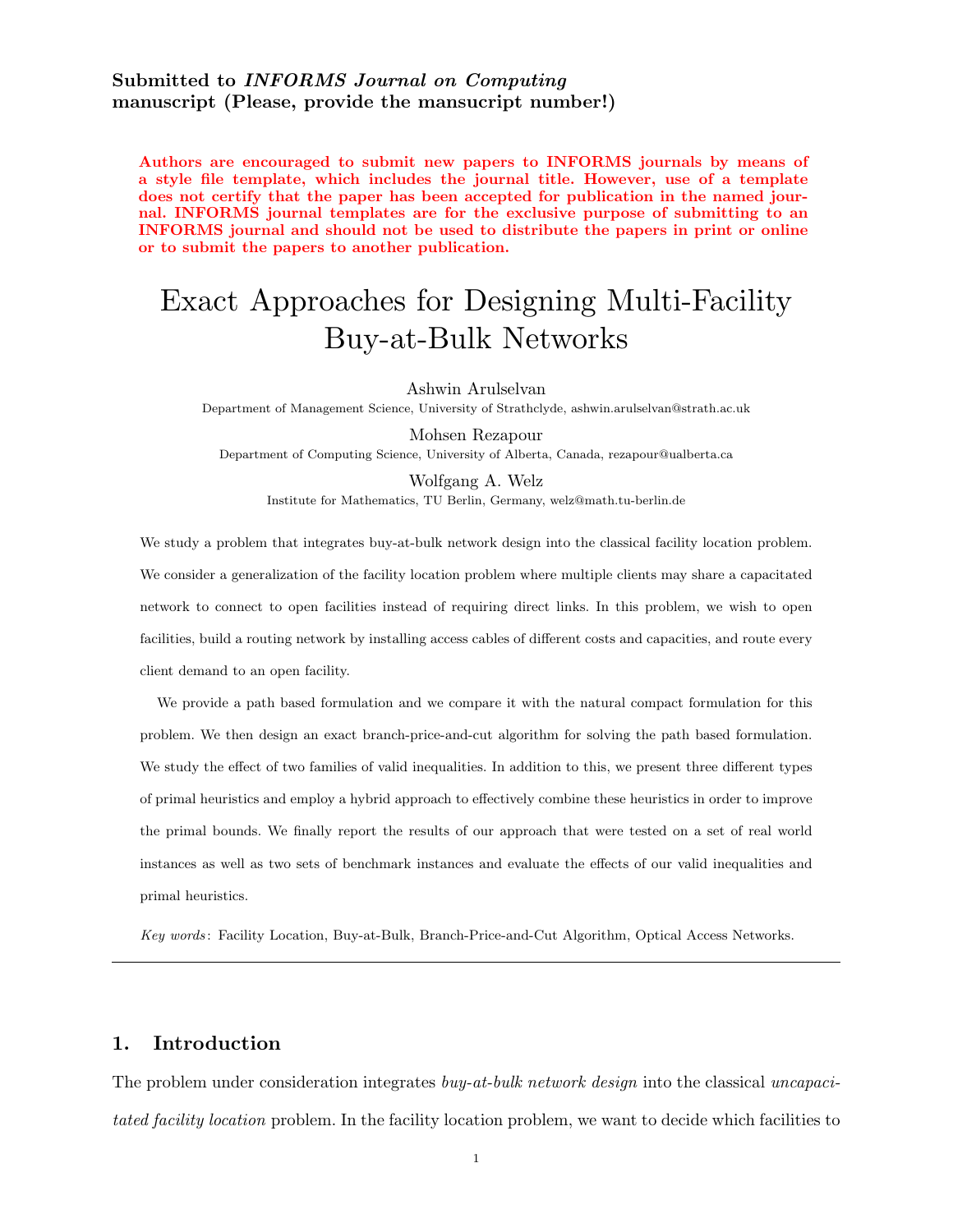## Submitted to INFORMS Journal on Computing manuscript (Please, provide the mansucript number!)

Authors are encouraged to submit new papers to INFORMS journals by means of a style file template, which includes the journal title. However, use of a template does not certify that the paper has been accepted for publication in the named journal. INFORMS journal templates are for the exclusive purpose of submitting to an INFORMS journal and should not be used to distribute the papers in print or online or to submit the papers to another publication.

# Exact Approaches for Designing Multi-Facility Buy-at-Bulk Networks

Ashwin Arulselvan

Department of Management Science, University of Strathclyde, ashwin.arulselvan@strath.ac.uk

Mohsen Rezapour Department of Computing Science, University of Alberta, Canada, rezapour@ualberta.ca

Wolfgang A. Welz Institute for Mathematics, TU Berlin, Germany, welz@math.tu-berlin.de

We study a problem that integrates buy-at-bulk network design into the classical facility location problem. We consider a generalization of the facility location problem where multiple clients may share a capacitated network to connect to open facilities instead of requiring direct links. In this problem, we wish to open facilities, build a routing network by installing access cables of different costs and capacities, and route every client demand to an open facility.

We provide a path based formulation and we compare it with the natural compact formulation for this problem. We then design an exact branch-price-and-cut algorithm for solving the path based formulation. We study the effect of two families of valid inequalities. In addition to this, we present three different types of primal heuristics and employ a hybrid approach to effectively combine these heuristics in order to improve the primal bounds. We finally report the results of our approach that were tested on a set of real world instances as well as two sets of benchmark instances and evaluate the effects of our valid inequalities and primal heuristics.

Key words : Facility Location, Buy-at-Bulk, Branch-Price-and-Cut Algorithm, Optical Access Networks.

## 1. Introduction

The problem under consideration integrates *buy-at-bulk network design* into the classical *uncapacitated facility location* problem. In the facility location problem, we want to decide which facilities to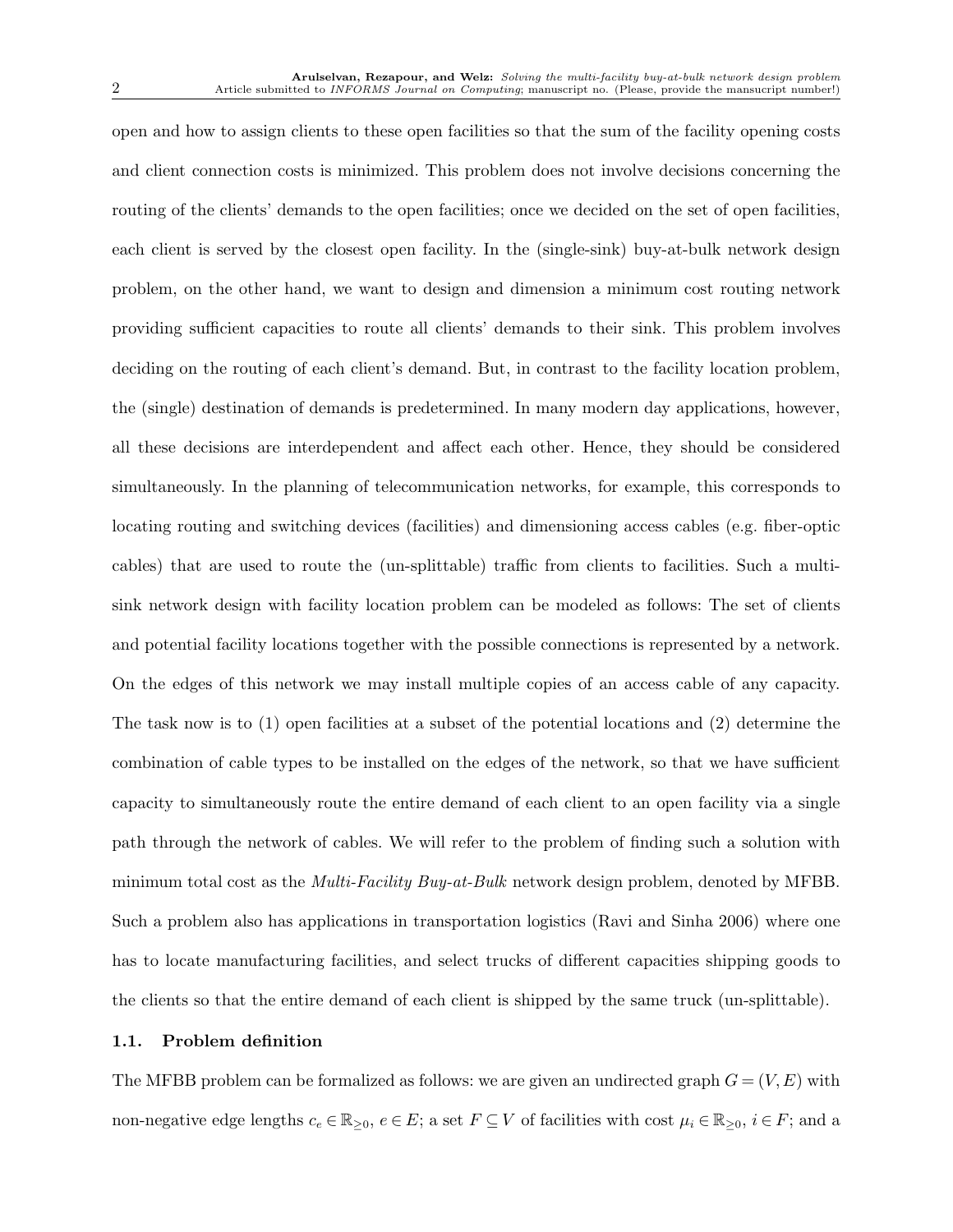open and how to assign clients to these open facilities so that the sum of the facility opening costs and client connection costs is minimized. This problem does not involve decisions concerning the routing of the clients' demands to the open facilities; once we decided on the set of open facilities, each client is served by the closest open facility. In the (single-sink) buy-at-bulk network design problem, on the other hand, we want to design and dimension a minimum cost routing network providing sufficient capacities to route all clients' demands to their sink. This problem involves deciding on the routing of each client's demand. But, in contrast to the facility location problem, the (single) destination of demands is predetermined. In many modern day applications, however, all these decisions are interdependent and affect each other. Hence, they should be considered simultaneously. In the planning of telecommunication networks, for example, this corresponds to locating routing and switching devices (facilities) and dimensioning access cables (e.g. fiber-optic cables) that are used to route the (un-splittable) traffic from clients to facilities. Such a multisink network design with facility location problem can be modeled as follows: The set of clients and potential facility locations together with the possible connections is represented by a network. On the edges of this network we may install multiple copies of an access cable of any capacity. The task now is to (1) open facilities at a subset of the potential locations and (2) determine the combination of cable types to be installed on the edges of the network, so that we have sufficient capacity to simultaneously route the entire demand of each client to an open facility via a single path through the network of cables. We will refer to the problem of finding such a solution with minimum total cost as the *Multi-Facility Buy-at-Bulk* network design problem, denoted by MFBB. Such a problem also has applications in transportation logistics (Ravi and Sinha 2006) where one has to locate manufacturing facilities, and select trucks of different capacities shipping goods to the clients so that the entire demand of each client is shipped by the same truck (un-splittable).

#### 1.1. Problem definition

The MFBB problem can be formalized as follows: we are given an undirected graph  $G = (V, E)$  with non-negative edge lengths  $c_e \in \mathbb{R}_{\geq 0}$ ,  $e \in E$ ; a set  $F \subseteq V$  of facilities with cost  $\mu_i \in \mathbb{R}_{\geq 0}$ ,  $i \in F$ ; and a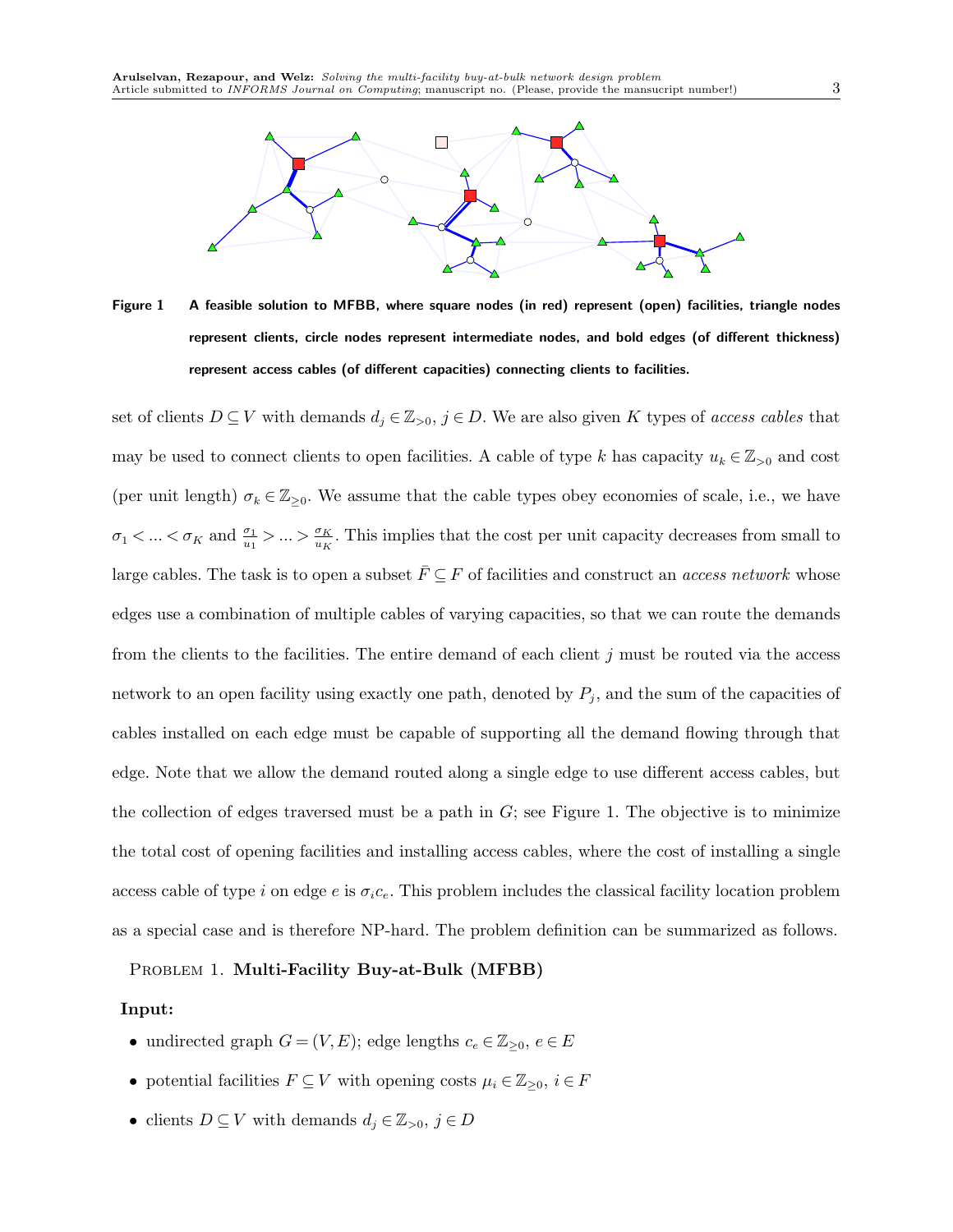

Figure 1 A feasible solution to MFBB, where square nodes (in red) represent (open) facilities, triangle nodes represent clients, circle nodes represent intermediate nodes, and bold edges (of different thickness) represent access cables (of different capacities) connecting clients to facilities.

set of clients  $D \subseteq V$  with demands  $d_j \in \mathbb{Z}_{>0}$ ,  $j \in D$ . We are also given K types of *access cables* that may be used to connect clients to open facilities. A cable of type k has capacity  $u_k \in \mathbb{Z}_{>0}$  and cost (per unit length)  $\sigma_k \in \mathbb{Z}_{\geq 0}$ . We assume that the cable types obey economies of scale, i.e., we have  $\sigma_1 < ... < \sigma_K$  and  $\frac{\sigma_1}{u_1} > ... > \frac{\sigma_K}{u_K}$ . This implies that the cost per unit capacity decreases from small to large cables. The task is to open a subset  $F \subseteq F$  of facilities and construct an *access network* whose edges use a combination of multiple cables of varying capacities, so that we can route the demands from the clients to the facilities. The entire demand of each client  $j$  must be routed via the access network to an open facility using exactly one path, denoted by  $P_j$ , and the sum of the capacities of cables installed on each edge must be capable of supporting all the demand flowing through that edge. Note that we allow the demand routed along a single edge to use different access cables, but the collection of edges traversed must be a path in  $G$ ; see Figure 1. The objective is to minimize the total cost of opening facilities and installing access cables, where the cost of installing a single access cable of type i on edge e is  $\sigma_i c_e$ . This problem includes the classical facility location problem as a special case and is therefore NP-hard. The problem definition can be summarized as follows.

#### PROBLEM 1. Multi-Facility Buy-at-Bulk (MFBB)

#### Input:

- undirected graph  $G = (V, E)$ ; edge lengths  $c_e \in \mathbb{Z}_{\geq 0}$ ,  $e \in E$
- potential facilities  $F \subseteq V$  with opening costs  $\mu_i \in \mathbb{Z}_{\geq 0}, \ i \in F$
- clients  $D \subseteq V$  with demands  $d_j \in \mathbb{Z}_{>0}, j \in D$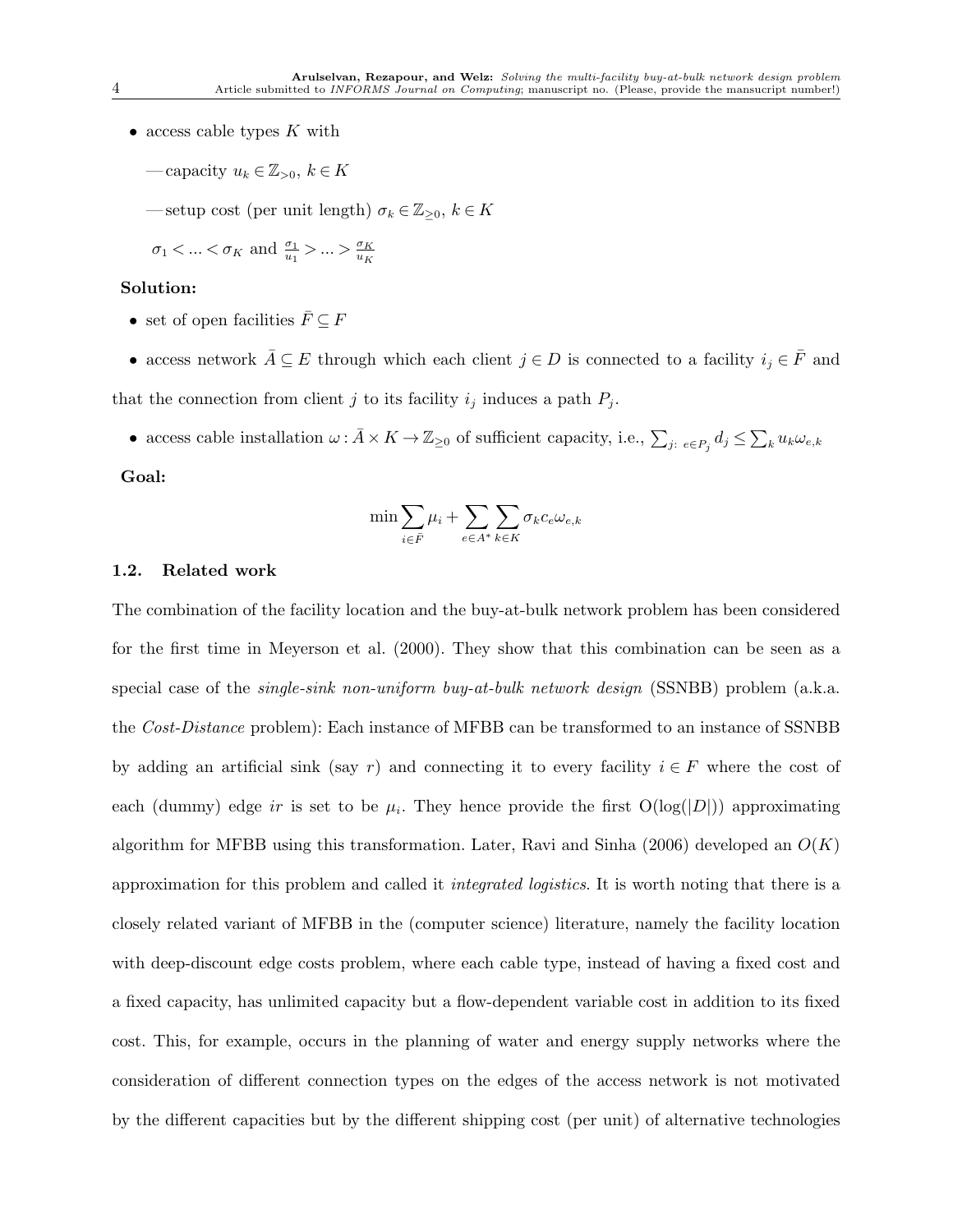- access cable types  $K$  with
	- capacity  $u_k \in \mathbb{Z}_{>0}, k \in K$
	- setup cost (per unit length)  $\sigma_k \in \mathbb{Z}_{\geq 0}$ ,  $k \in K$

$$
\sigma_1 < \ldots < \sigma_K
$$
 and  $\frac{\sigma_1}{u_1} > \ldots > \frac{\sigma_K}{u_K}$ 

## Solution:

- set of open facilities  $\bar F\subseteq F$
- access network  $\bar{A} \subseteq E$  through which each client  $j \in D$  is connected to a facility  $i_j \in \bar{F}$  and that the connection from client j to its facility  $i_j$  induces a path  $P_j$ .
	- access cable installation  $\omega : \bar{A} \times K \to \mathbb{Z}_{\geq 0}$  of sufficient capacity, i.e.,  $\sum_{j: e \in P_j} d_j \leq \sum_k u_k \omega_{e,k}$

## Goal:

$$
\min \sum_{i \in \bar{F}} \mu_i + \sum_{e \in A^*} \sum_{k \in K} \sigma_k c_e \omega_{e,k}
$$

#### 1.2. Related work

The combination of the facility location and the buy-at-bulk network problem has been considered for the first time in Meyerson et al. (2000). They show that this combination can be seen as a special case of the *single-sink non-uniform buy-at-bulk network design* (SSNBB) problem (a.k.a. the *Cost-Distance* problem): Each instance of MFBB can be transformed to an instance of SSNBB by adding an artificial sink (say r) and connecting it to every facility  $i \in F$  where the cost of each (dummy) edge ir is set to be  $\mu_i$ . They hence provide the first  $O(log(|D|))$  approximating algorithm for MFBB using this transformation. Later, Ravi and Sinha (2006) developed an  $O(K)$ approximation for this problem and called it *integrated logistics*. It is worth noting that there is a closely related variant of MFBB in the (computer science) literature, namely the facility location with deep-discount edge costs problem, where each cable type, instead of having a fixed cost and a fixed capacity, has unlimited capacity but a flow-dependent variable cost in addition to its fixed cost. This, for example, occurs in the planning of water and energy supply networks where the consideration of different connection types on the edges of the access network is not motivated by the different capacities but by the different shipping cost (per unit) of alternative technologies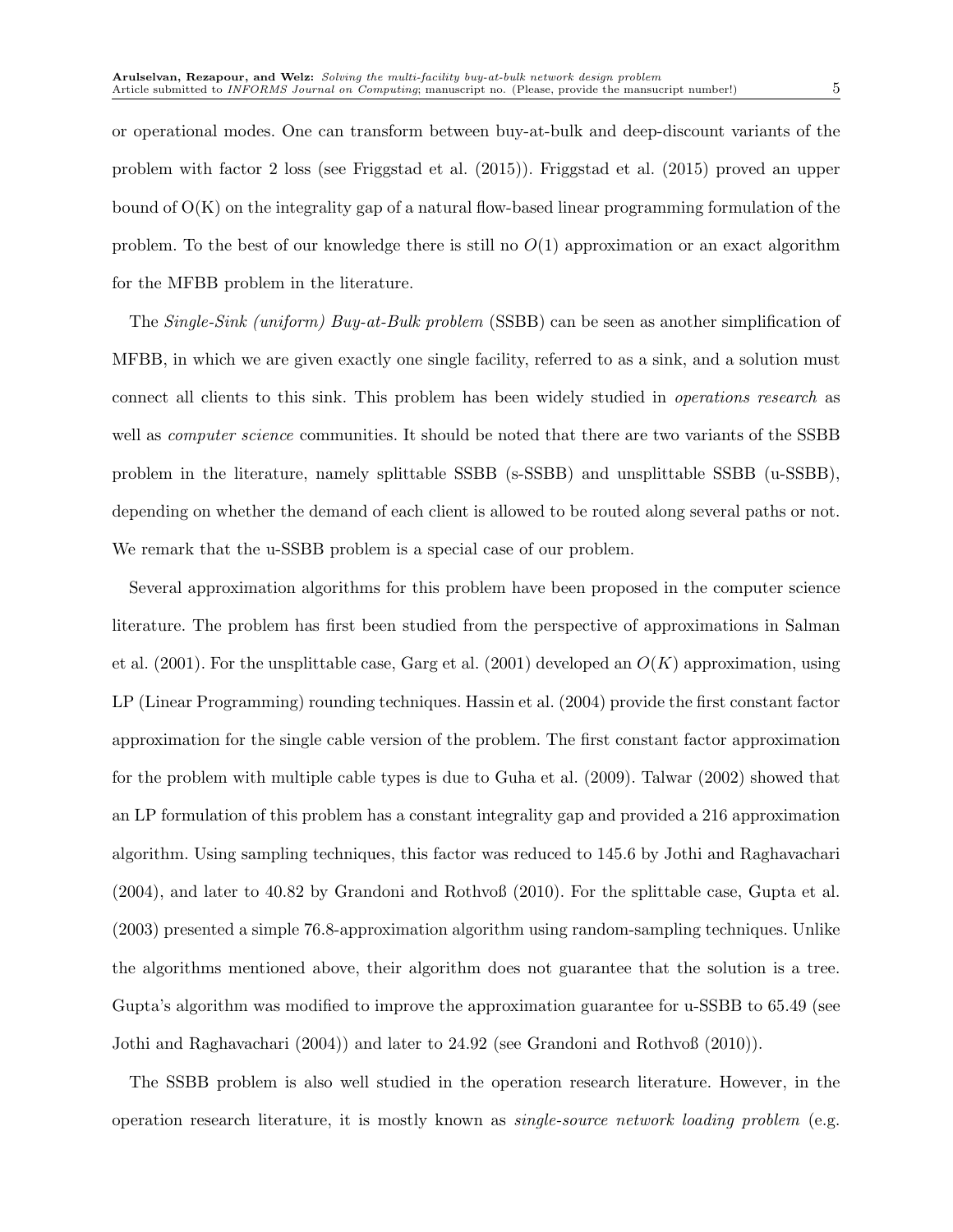or operational modes. One can transform between buy-at-bulk and deep-discount variants of the problem with factor 2 loss (see Friggstad et al. (2015)). Friggstad et al. (2015) proved an upper bound of  $O(K)$  on the integrality gap of a natural flow-based linear programming formulation of the problem. To the best of our knowledge there is still no  $O(1)$  approximation or an exact algorithm for the MFBB problem in the literature.

The *Single-Sink (uniform) Buy-at-Bulk problem* (SSBB) can be seen as another simplification of MFBB, in which we are given exactly one single facility, referred to as a sink, and a solution must connect all clients to this sink. This problem has been widely studied in *operations research* as well as *computer science* communities. It should be noted that there are two variants of the SSBB problem in the literature, namely splittable SSBB (s-SSBB) and unsplittable SSBB (u-SSBB), depending on whether the demand of each client is allowed to be routed along several paths or not. We remark that the u-SSBB problem is a special case of our problem.

Several approximation algorithms for this problem have been proposed in the computer science literature. The problem has first been studied from the perspective of approximations in Salman et al. (2001). For the unsplittable case, Garg et al. (2001) developed an  $O(K)$  approximation, using LP (Linear Programming) rounding techniques. Hassin et al. (2004) provide the first constant factor approximation for the single cable version of the problem. The first constant factor approximation for the problem with multiple cable types is due to Guha et al. (2009). Talwar (2002) showed that an LP formulation of this problem has a constant integrality gap and provided a 216 approximation algorithm. Using sampling techniques, this factor was reduced to 145.6 by Jothi and Raghavachari (2004), and later to 40.82 by Grandoni and Rothvoß (2010). For the splittable case, Gupta et al. (2003) presented a simple 76.8-approximation algorithm using random-sampling techniques. Unlike the algorithms mentioned above, their algorithm does not guarantee that the solution is a tree. Gupta's algorithm was modified to improve the approximation guarantee for u-SSBB to 65.49 (see Jothi and Raghavachari (2004)) and later to 24.92 (see Grandoni and Rothvoß (2010)).

The SSBB problem is also well studied in the operation research literature. However, in the operation research literature, it is mostly known as *single-source network loading problem* (e.g.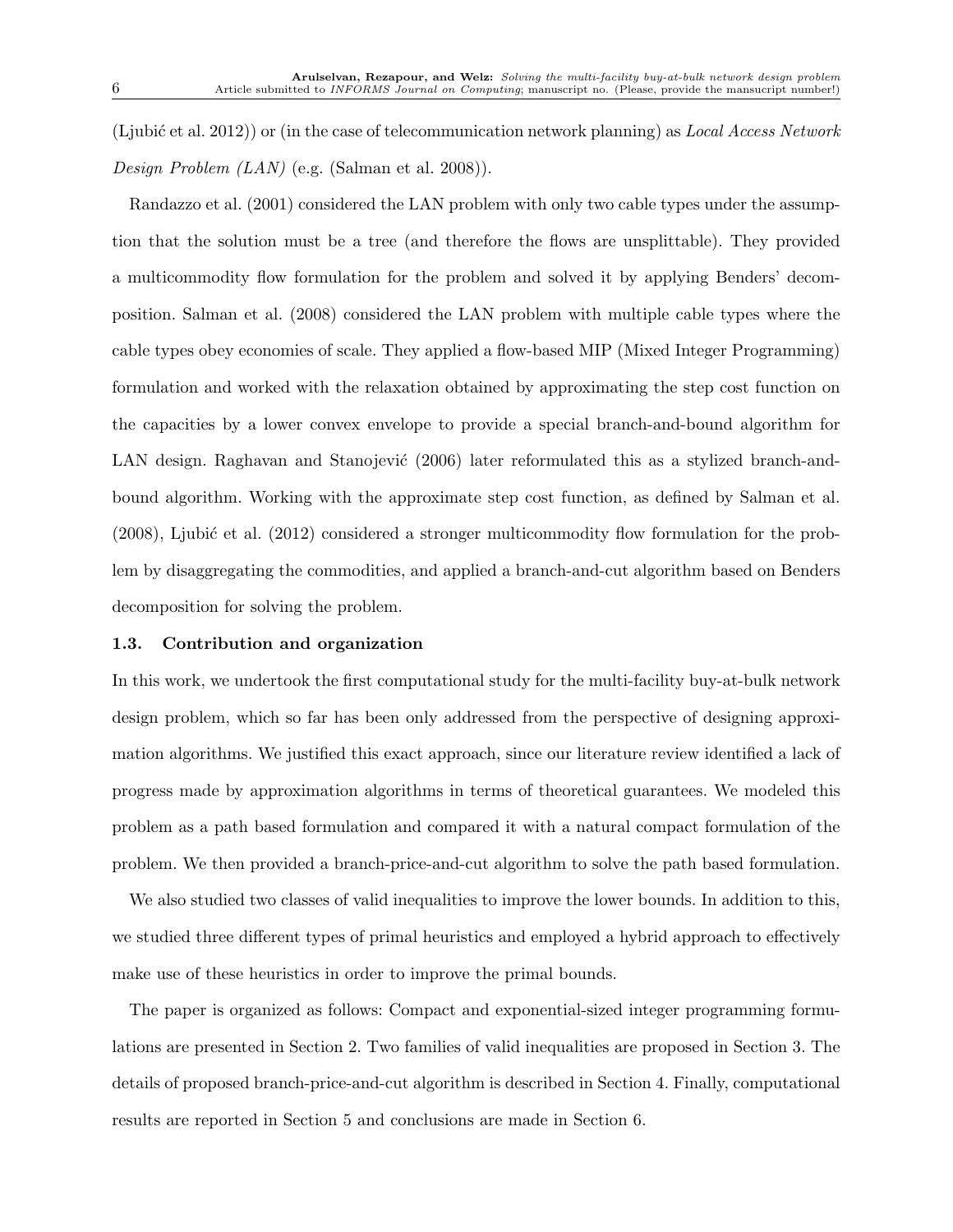(Ljubi´c et al. 2012)) or (in the case of telecommunication network planning) as *Local Access Network Design Problem (LAN)* (e.g. (Salman et al. 2008)).

Randazzo et al. (2001) considered the LAN problem with only two cable types under the assumption that the solution must be a tree (and therefore the flows are unsplittable). They provided a multicommodity flow formulation for the problem and solved it by applying Benders' decomposition. Salman et al. (2008) considered the LAN problem with multiple cable types where the cable types obey economies of scale. They applied a flow-based MIP (Mixed Integer Programming) formulation and worked with the relaxation obtained by approximating the step cost function on the capacities by a lower convex envelope to provide a special branch-and-bound algorithm for LAN design. Raghavan and Stanojević (2006) later reformulated this as a stylized branch-andbound algorithm. Working with the approximate step cost function, as defined by Salman et al.  $(2008)$ , Ljubić et al.  $(2012)$  considered a stronger multicommodity flow formulation for the problem by disaggregating the commodities, and applied a branch-and-cut algorithm based on Benders decomposition for solving the problem.

#### 1.3. Contribution and organization

In this work, we undertook the first computational study for the multi-facility buy-at-bulk network design problem, which so far has been only addressed from the perspective of designing approximation algorithms. We justified this exact approach, since our literature review identified a lack of progress made by approximation algorithms in terms of theoretical guarantees. We modeled this problem as a path based formulation and compared it with a natural compact formulation of the problem. We then provided a branch-price-and-cut algorithm to solve the path based formulation.

We also studied two classes of valid inequalities to improve the lower bounds. In addition to this, we studied three different types of primal heuristics and employed a hybrid approach to effectively make use of these heuristics in order to improve the primal bounds.

The paper is organized as follows: Compact and exponential-sized integer programming formulations are presented in Section 2. Two families of valid inequalities are proposed in Section 3. The details of proposed branch-price-and-cut algorithm is described in Section 4. Finally, computational results are reported in Section 5 and conclusions are made in Section 6.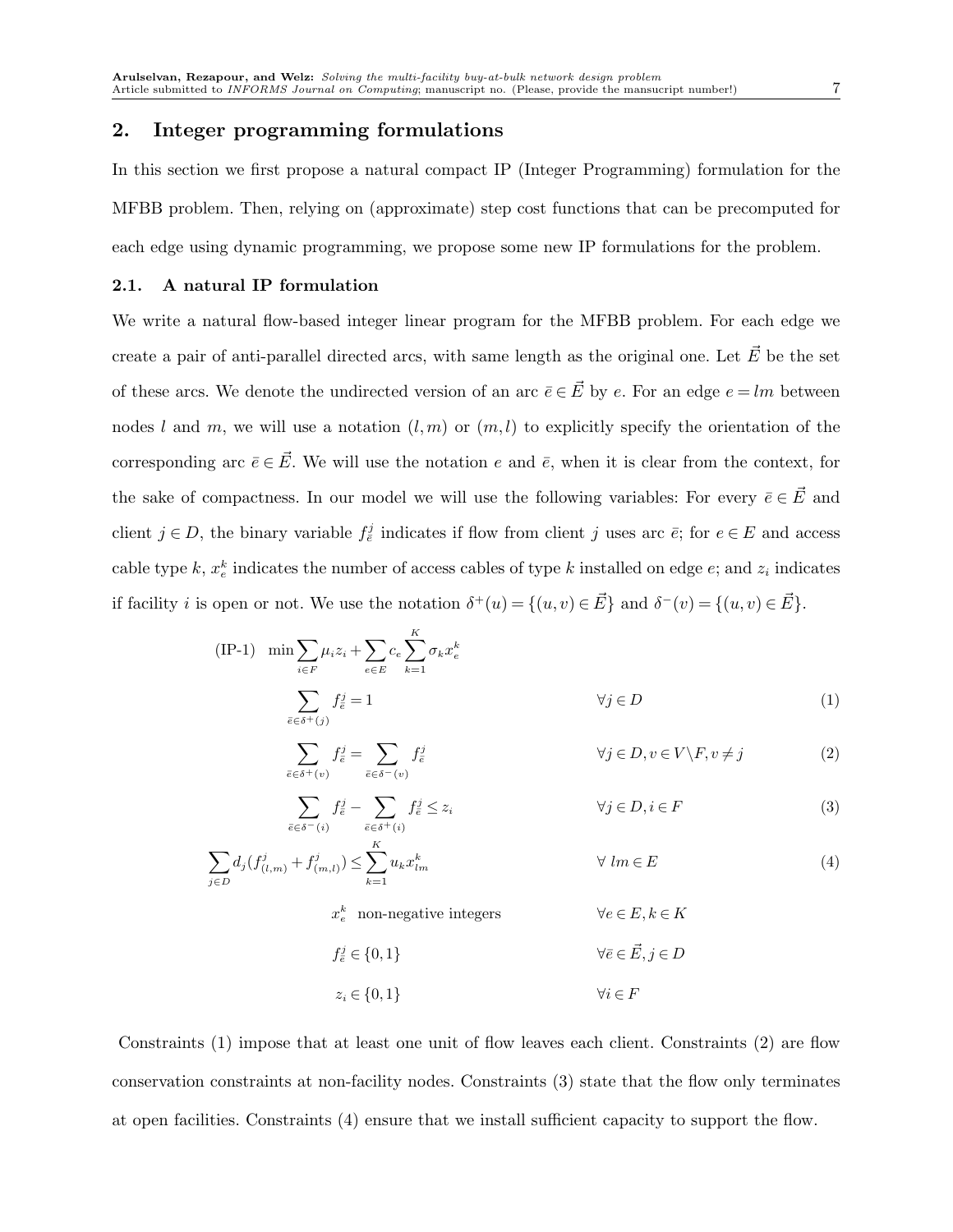### 2. Integer programming formulations

In this section we first propose a natural compact IP (Integer Programming) formulation for the MFBB problem. Then, relying on (approximate) step cost functions that can be precomputed for each edge using dynamic programming, we propose some new IP formulations for the problem.

## 2.1. A natural IP formulation

We write a natural flow-based integer linear program for the MFBB problem. For each edge we create a pair of anti-parallel directed arcs, with same length as the original one. Let  $\vec{E}$  be the set of these arcs. We denote the undirected version of an arc  $\bar{e} \in \vec{E}$  by e. For an edge  $e = lm$  between nodes l and m, we will use a notation  $(l,m)$  or  $(m,l)$  to explicitly specify the orientation of the corresponding arc  $\bar{e} \in \vec{E}$ . We will use the notation e and  $\bar{e}$ , when it is clear from the context, for the sake of compactness. In our model we will use the following variables: For every  $\bar{e} \in \vec{E}$  and client  $j \in D$ , the binary variable  $f_{\bar{e}}^j$  indicates if flow from client j uses arc  $\bar{e}$ ; for  $e \in E$  and access cable type k,  $x_e^k$  indicates the number of access cables of type k installed on edge e; and  $z_i$  indicates if facility *i* is open or not. We use the notation  $\delta^+(u) = \{(u, v) \in \vec{E}\}\$ and  $\delta^-(v) = \{(u, v) \in \vec{E}\}\$ .

(IP-1) 
$$
\min \sum_{i \in F} \mu_i z_i + \sum_{e \in E} c_e \sum_{k=1}^K \sigma_k x_e^k
$$

$$
\sum_{\bar{e} \in \delta^+(j)} f_{\bar{e}}^j = 1 \qquad \forall j \in D
$$
(1)

$$
\sum_{\bar{e}\in\delta^{+}(v)} f_{\bar{e}}^{j} = \sum_{\bar{e}\in\delta^{-}(v)} f_{\bar{e}}^{j} \qquad \qquad \forall j \in D, v \in V \backslash F, v \neq j \tag{2}
$$

$$
\sum_{\bar{e}\in\delta^{-}(i)} f_{\bar{e}}^{j} - \sum_{\bar{e}\in\delta^{+}(i)} f_{\bar{e}}^{j} \leq z_{i} \qquad \qquad \forall j \in D, i \in F
$$
\n
$$
(3)
$$

$$
\sum_{j \in D} d_j (f^j_{(l,m)} + f^j_{(m,l)}) \le \sum_{k=1}^K u_k x^k_{lm} \qquad \forall lm \in E
$$
 (4)

 $x_e^k$  non-negative integers  $\forall e \in E, k \in K$ 

$$
f_{\bar{e}}^j \in \{0, 1\} \qquad \forall \bar{e} \in \vec{E}, j \in D
$$

$$
z_i \in \{0, 1\} \qquad \qquad \forall i \in F
$$

Constraints (1) impose that at least one unit of flow leaves each client. Constraints (2) are flow conservation constraints at non-facility nodes. Constraints (3) state that the flow only terminates at open facilities. Constraints (4) ensure that we install sufficient capacity to support the flow.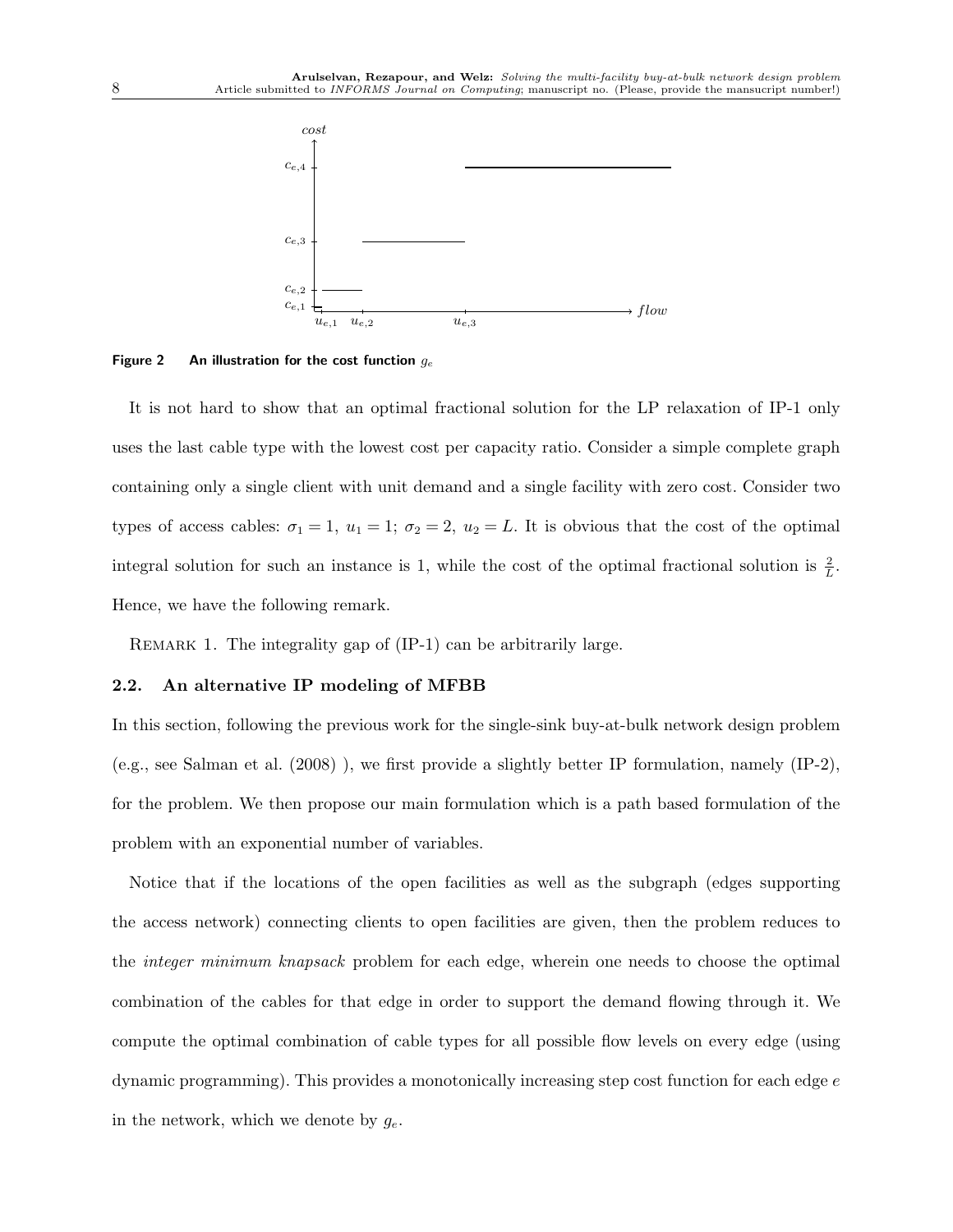

Figure 2 An illustration for the cost function  $g_e$ 

It is not hard to show that an optimal fractional solution for the LP relaxation of IP-1 only uses the last cable type with the lowest cost per capacity ratio. Consider a simple complete graph containing only a single client with unit demand and a single facility with zero cost. Consider two types of access cables:  $\sigma_1 = 1$ ,  $u_1 = 1$ ;  $\sigma_2 = 2$ ,  $u_2 = L$ . It is obvious that the cost of the optimal integral solution for such an instance is 1, while the cost of the optimal fractional solution is  $\frac{2}{L}$ . Hence, we have the following remark.

REMARK 1. The integrality gap of  $(IP-1)$  can be arbitrarily large.

#### 2.2. An alternative IP modeling of MFBB

In this section, following the previous work for the single-sink buy-at-bulk network design problem (e.g., see Salman et al. (2008) ), we first provide a slightly better IP formulation, namely (IP-2), for the problem. We then propose our main formulation which is a path based formulation of the problem with an exponential number of variables.

Notice that if the locations of the open facilities as well as the subgraph (edges supporting the access network) connecting clients to open facilities are given, then the problem reduces to the *integer minimum knapsack* problem for each edge, wherein one needs to choose the optimal combination of the cables for that edge in order to support the demand flowing through it. We compute the optimal combination of cable types for all possible flow levels on every edge (using dynamic programming). This provides a monotonically increasing step cost function for each edge e in the network, which we denote by  $g_e$ .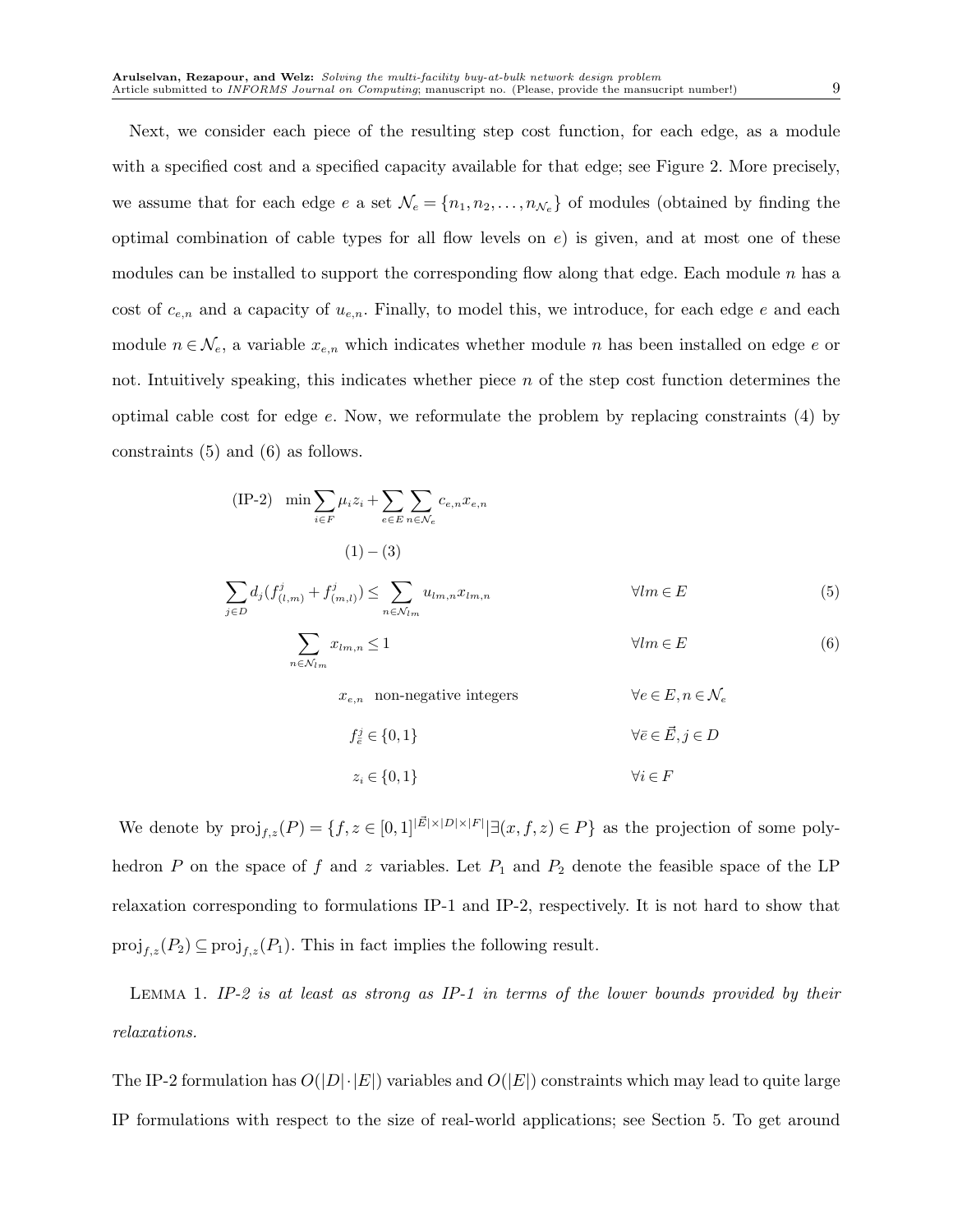Next, we consider each piece of the resulting step cost function, for each edge, as a module with a specified cost and a specified capacity available for that edge; see Figure 2. More precisely, we assume that for each edge e a set  $\mathcal{N}_e = \{n_1, n_2, \ldots, n_{\mathcal{N}_e}\}\$  of modules (obtained by finding the optimal combination of cable types for all flow levels on  $e$ ) is given, and at most one of these modules can be installed to support the corresponding flow along that edge. Each module  $n$  has a cost of  $c_{e,n}$  and a capacity of  $u_{e,n}$ . Finally, to model this, we introduce, for each edge e and each module  $n \in \mathcal{N}_e$ , a variable  $x_{e,n}$  which indicates whether module n has been installed on edge e or not. Intuitively speaking, this indicates whether piece  $n$  of the step cost function determines the optimal cable cost for edge  $e$ . Now, we reformulate the problem by replacing constraints (4) by constraints (5) and (6) as follows.

$$
\begin{aligned} \text{(IP-2)} \quad \min \sum_{i \in F} \mu_i z_i + \sum_{e \in E} \sum_{n \in \mathcal{N}_e} c_{e,n} x_{e,n} \\ \text{(1)} - \text{(3)} \end{aligned}
$$

$$
\sum_{j \in D} d_j (f_{(l,m)}^j + f_{(m,l)}^j) \le \sum_{n \in \mathcal{N}_{lm}} u_{lm,n} x_{lm,n} \qquad \forall lm \in E
$$
 (5)

$$
\sum_{n \in \mathcal{N}_{lm}} x_{lm,n} \le 1 \qquad \qquad \forall lm \in E \tag{6}
$$

 $x_{e,n}$  non-negative integers  $\forall e \in E, n \in \mathcal{N}_e$ 

$$
f_{\overline{e}}^{j} \in \{0, 1\}
$$
  

$$
z_{i} \in \{0, 1\}
$$
  

$$
\forall i \in F
$$
  

$$
\forall i \in F
$$

We denote by  $\text{proj}_{f,z}(P) = \{f, z \in [0,1]^{|\vec{E}| \times |\vec{D}| \times |\vec{F}|} | \exists (x, f, z) \in P\}$  as the projection of some polyhedron P on the space of f and z variables. Let  $P_1$  and  $P_2$  denote the feasible space of the LP relaxation corresponding to formulations IP-1 and IP-2, respectively. It is not hard to show that  $\text{proj}_{f,z}(P_2) \subseteq \text{proj}_{f,z}(P_1)$ . This in fact implies the following result.

Lemma 1. *IP-2 is at least as strong as IP-1 in terms of the lower bounds provided by their relaxations.*

The IP-2 formulation has  $O(|D|\cdot|E|)$  variables and  $O(|E|)$  constraints which may lead to quite large IP formulations with respect to the size of real-world applications; see Section 5. To get around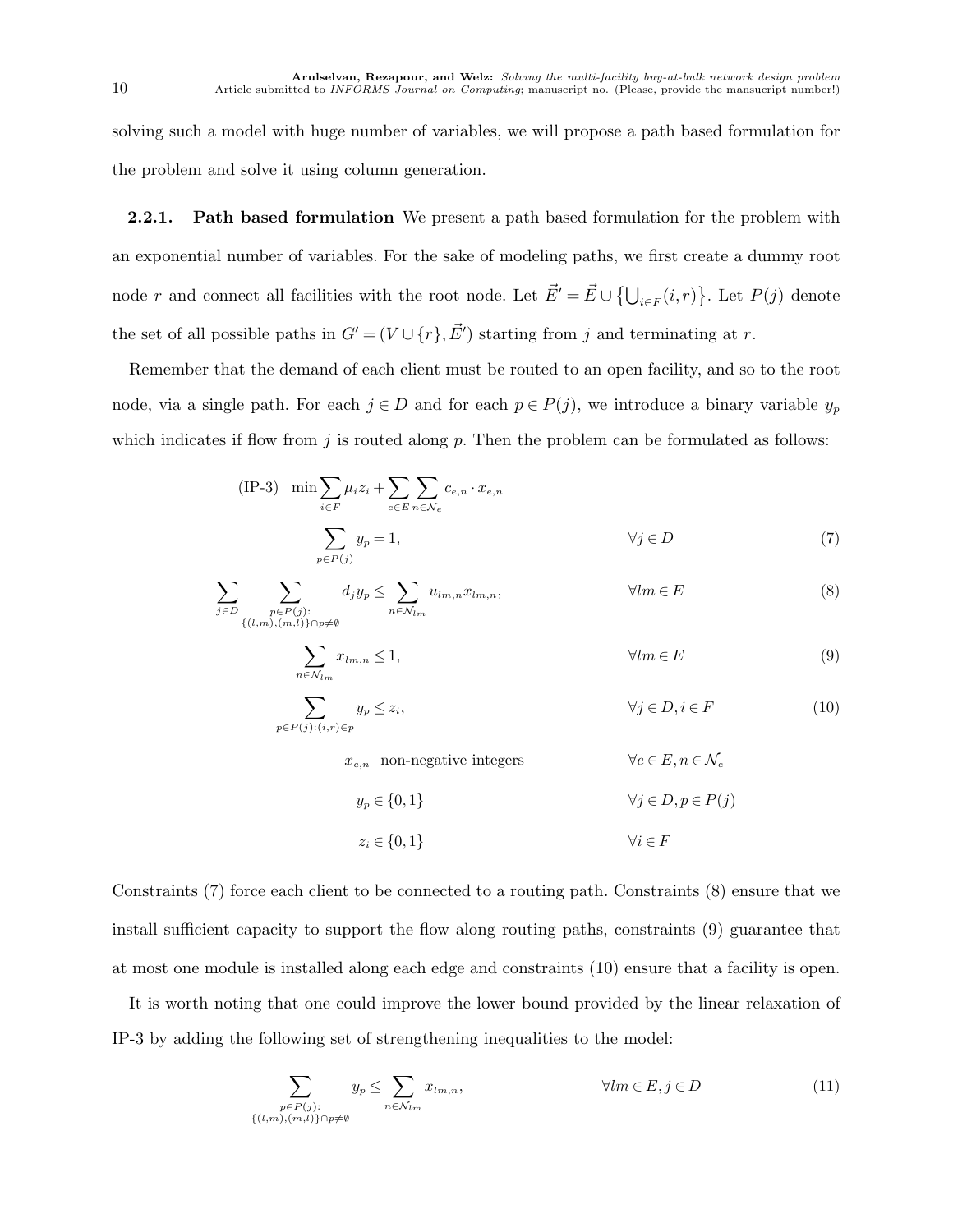solving such a model with huge number of variables, we will propose a path based formulation for the problem and solve it using column generation.

**2.2.1.** Path based formulation We present a path based formulation for the problem with an exponential number of variables. For the sake of modeling paths, we first create a dummy root node r and connect all facilities with the root node. Let  $\vec{E'} = \vec{E} \cup \{ \bigcup_{i \in F} (i,r) \}$ . Let  $P(j)$  denote the set of all possible paths in  $G' = (V \cup \{r\}, \vec{E'})$  starting from j and terminating at r.

Remember that the demand of each client must be routed to an open facility, and so to the root node, via a single path. For each  $j \in D$  and for each  $p \in P(j)$ , we introduce a binary variable  $y_p$ which indicates if flow from  $j$  is routed along  $p$ . Then the problem can be formulated as follows:

(IP-3) 
$$
\min \sum_{i \in F} \mu_i z_i + \sum_{e \in E} \sum_{n \in \mathcal{N}_e} c_{e,n} \cdot x_{e,n}
$$

$$
\sum_{p \in P(j)} y_p = 1, \qquad \forall j \in D \tag{7}
$$

$$
\sum_{j \in D} \sum_{\substack{p \in P(j):\\ \{(l,m),(m,l)\} \cap p \neq \emptyset}} d_j y_p \le \sum_{n \in \mathcal{N}_{lm}} u_{lm,n} x_{lm,n}, \qquad \forall lm \in E
$$
\n(8)

$$
\sum_{n \in \mathcal{N}_{lm}} x_{lm,n} \le 1, \qquad \qquad \forall lm \in E \tag{9}
$$

$$
\sum_{p \in P(j):(i,r) \in p} y_p \le z_i, \qquad \forall j \in D, i \in F \tag{10}
$$

 $x_{e,n}$  non-negative integers  $\forall e \in E, n \in \mathcal{N}_e$ 

$$
y_p \in \{0, 1\} \qquad \qquad \forall j \in D, p \in P(j)
$$

$$
z_i \in \{0, 1\} \qquad \qquad \forall i \in F
$$

Constraints (7) force each client to be connected to a routing path. Constraints (8) ensure that we install sufficient capacity to support the flow along routing paths, constraints (9) guarantee that at most one module is installed along each edge and constraints (10) ensure that a facility is open.

It is worth noting that one could improve the lower bound provided by the linear relaxation of IP-3 by adding the following set of strengthening inequalities to the model:

$$
\sum_{\substack{p \in P(j):\\ \{(l,m),(m,l)\}\cap p\neq\emptyset}} y_p \le \sum_{n\in\mathcal{N}_{lm}} x_{lm,n}, \qquad \forall lm \in E, j \in D \tag{11}
$$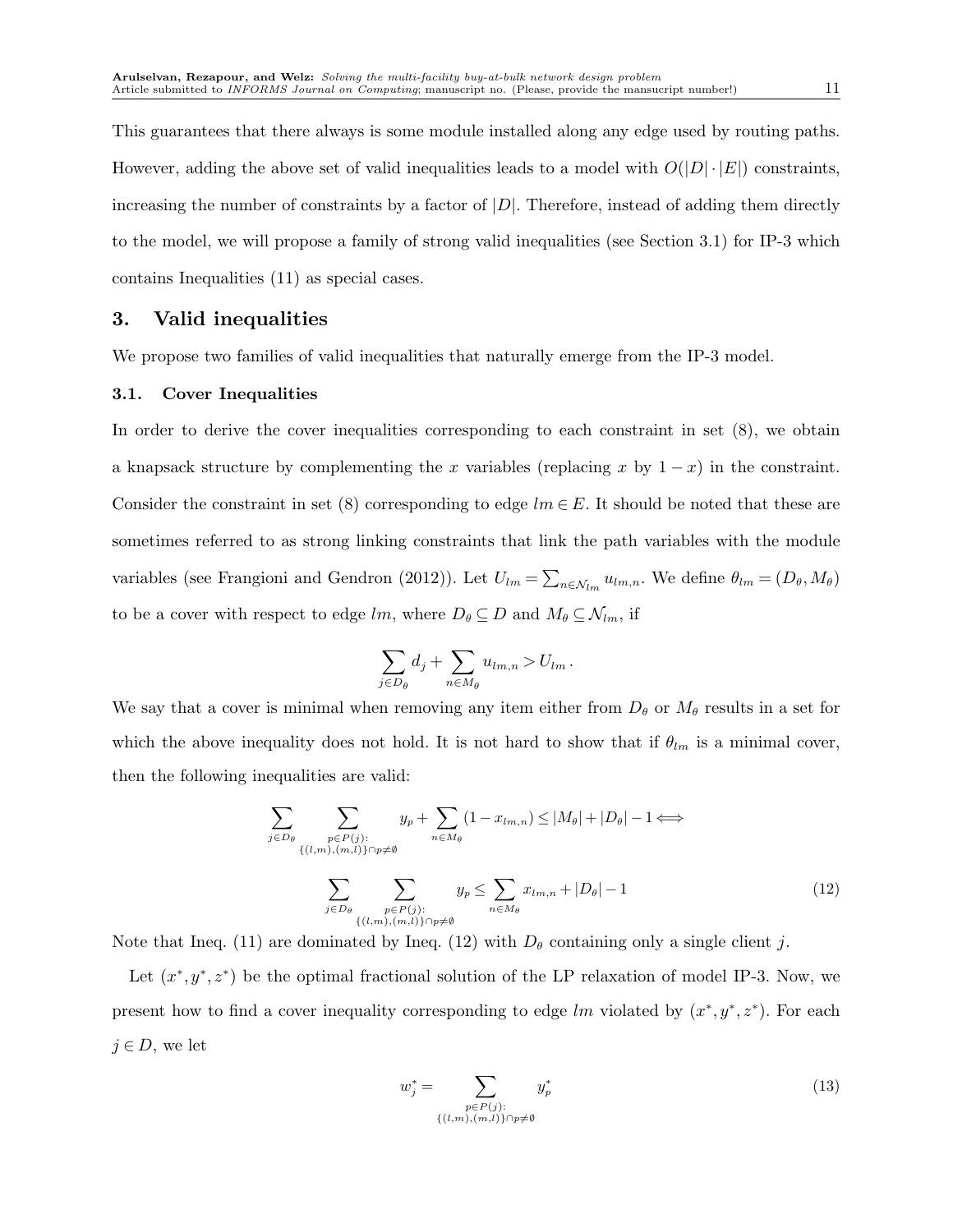This guarantees that there always is some module installed along any edge used by routing paths. However, adding the above set of valid inequalities leads to a model with  $O(|D| \cdot |E|)$  constraints, increasing the number of constraints by a factor of  $|D|$ . Therefore, instead of adding them directly to the model, we will propose a family of strong valid inequalities (see Section 3.1) for IP-3 which contains Inequalities (11) as special cases.

## 3. Valid inequalities

We propose two families of valid inequalities that naturally emerge from the IP-3 model.

#### 3.1. Cover Inequalities

In order to derive the cover inequalities corresponding to each constraint in set (8), we obtain a knapsack structure by complementing the x variables (replacing x by  $1 - x$ ) in the constraint. Consider the constraint in set (8) corresponding to edge  $lm \in E$ . It should be noted that these are sometimes referred to as strong linking constraints that link the path variables with the module variables (see Frangioni and Gendron (2012)). Let  $U_{lm} = \sum_{n \in \mathcal{N}_{lm}} u_{lm,n}$ . We define  $\theta_{lm} = (D_{\theta}, M_{\theta})$ to be a cover with respect to edge lm, where  $D_{\theta} \subseteq D$  and  $M_{\theta} \subseteq \mathcal{N}_{lm}$ , if

$$
\sum_{j\in D_{\theta}}d_j+\sum_{n\in M_{\theta}}u_{lm,n}>U_{lm}.
$$

We say that a cover is minimal when removing any item either from  $D_{\theta}$  or  $M_{\theta}$  results in a set for which the above inequality does not hold. It is not hard to show that if  $\theta_{lm}$  is a minimal cover, then the following inequalities are valid:

$$
\sum_{j \in D_{\theta}} \sum_{\substack{p \in P(j):\\ \{(l,m),(m,l)\} \cap p \neq \emptyset}} y_p + \sum_{n \in M_{\theta}} (1 - x_{lm,n}) \le |M_{\theta}| + |D_{\theta}| - 1 \Longleftrightarrow
$$
\n
$$
\sum_{j \in D_{\theta}} \sum_{\substack{p \in P(j):\\ \{(l,m),(m,l)\} \cap p \neq \emptyset}} y_p \le \sum_{n \in M_{\theta}} x_{lm,n} + |D_{\theta}| - 1 \tag{12}
$$

Note that Ineq. (11) are dominated by Ineq. (12) with  $D_{\theta}$  containing only a single client j.

Let  $(x^*, y^*, z^*)$  be the optimal fractional solution of the LP relaxation of model IP-3. Now, we present how to find a cover inequality corresponding to edge lm violated by  $(x^*, y^*, z^*)$ . For each  $j \in D$ , we let

$$
w_j^* = \sum_{\substack{p \in P(j):\\ \{(l,m),(m,l)\}\cap p \neq \emptyset}} y_p^* \tag{13}
$$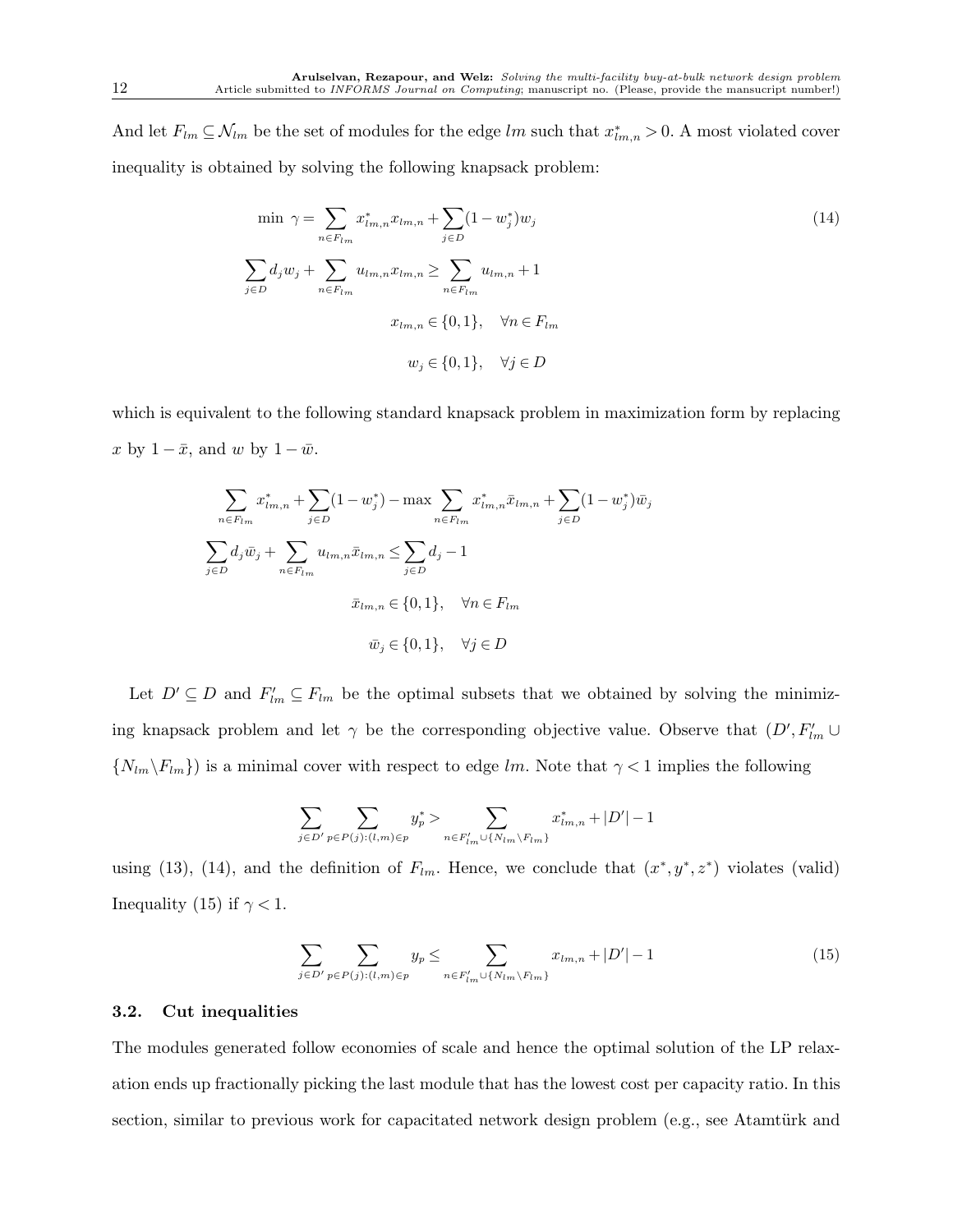And let  $F_{lm} \subseteq \mathcal{N}_{lm}$  be the set of modules for the edge lm such that  $x^*_{lm,n} > 0$ . A most violated cover inequality is obtained by solving the following knapsack problem:

$$
\min \ \gamma = \sum_{n \in F_{lm}} x_{lm,n}^* x_{lm,n} + \sum_{j \in D} (1 - w_j^*) w_j
$$
\n
$$
\sum_{j \in D} d_j w_j + \sum_{n \in F_{lm}} u_{lm,n} x_{lm,n} \ge \sum_{n \in F_{lm}} u_{lm,n} + 1
$$
\n
$$
x_{lm,n} \in \{0, 1\}, \quad \forall n \in F_{lm}
$$
\n
$$
w_j \in \{0, 1\}, \quad \forall j \in D
$$
\n(14)

which is equivalent to the following standard knapsack problem in maximization form by replacing x by  $1 - \bar{x}$ , and w by  $1 - \bar{w}$ .

$$
\sum_{n \in F_{lm}} x_{lm,n}^* + \sum_{j \in D} (1 - w_j^*) - \max_{n \in F_{lm}} \sum_{m \in F_{lm,n}} x_{lm,n}^* \bar{x}_{lm,n} + \sum_{j \in D} (1 - w_j^*) \bar{w}_j
$$
  

$$
\sum_{j \in D} d_j \bar{w}_j + \sum_{n \in F_{lm}} u_{lm,n} \bar{x}_{lm,n} \le \sum_{j \in D} d_j - 1
$$
  

$$
\bar{x}_{lm,n} \in \{0, 1\}, \quad \forall n \in F_{lm}
$$
  

$$
\bar{w}_j \in \{0, 1\}, \quad \forall j \in D
$$

Let  $D' \subseteq D$  and  $F'_{lm} \subseteq F_{lm}$  be the optimal subsets that we obtained by solving the minimizing knapsack problem and let  $\gamma$  be the corresponding objective value. Observe that  $(D', F'_{lm} \cup$  $\{N_{lm}\backslash F_{lm}\}\$  is a minimal cover with respect to edge lm. Note that  $\gamma < 1$  implies the following

$$
\sum\limits_{j\in D'}\sum\limits_{p\in P(j):(l,m)\in p}y^*_p>\sum\limits_{n\in F'_{lm}\cup \{N_{lm}\backslash F_{lm}\}}x^*_{lm,n}+|D'|-1
$$

using (13), (14), and the definition of  $F_{lm}$ . Hence, we conclude that  $(x^*, y^*, z^*)$  violates (valid) Inequality (15) if  $\gamma < 1$ .

$$
\sum_{j \in D'} \sum_{p \in P(j) : (l,m) \in p} y_p \le \sum_{n \in F'_{lm} \cup \{N_{lm}\} F_{lm}\}} x_{lm,n} + |D'| - 1 \tag{15}
$$

#### 3.2. Cut inequalities

The modules generated follow economies of scale and hence the optimal solution of the LP relaxation ends up fractionally picking the last module that has the lowest cost per capacity ratio. In this section, similar to previous work for capacitated network design problem (e.g., see Atamtürk and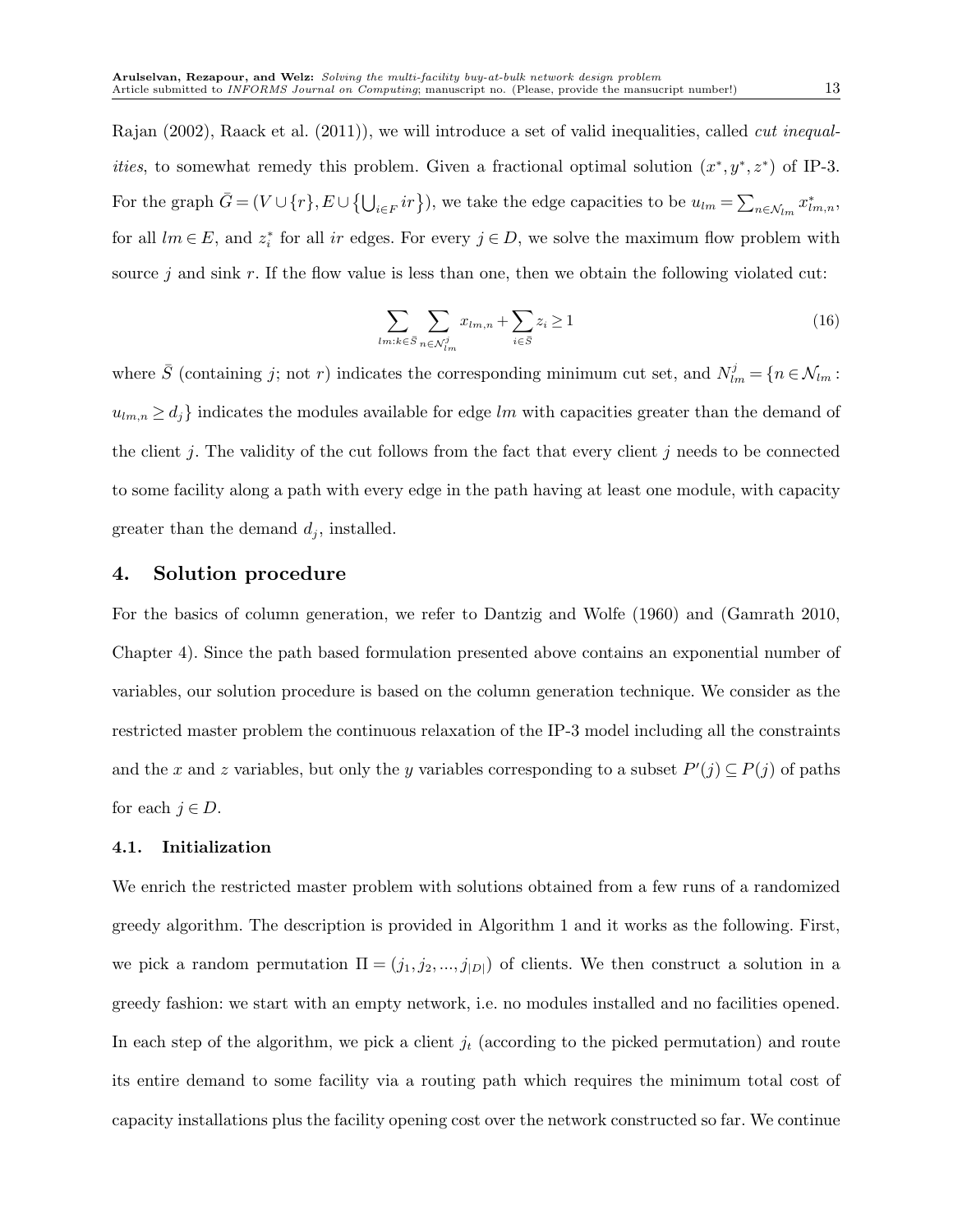Rajan (2002), Raack et al. (2011)), we will introduce a set of valid inequalities, called *cut inequalities*, to somewhat remedy this problem. Given a fractional optimal solution  $(x^*, y^*, z^*)$  of IP-3. For the graph  $\bar{G} = (V \cup \{r\}, E \cup \{\bigcup_{i \in F} ir\})$ , we take the edge capacities to be  $u_{lm} = \sum_{n \in \mathcal{N}_{lm}} x^*_{lm,n}$ , for all  $lm \in E$ , and  $z_i^*$  for all ir edges. For every  $j \in D$ , we solve the maximum flow problem with source j and sink r. If the flow value is less than one, then we obtain the following violated cut:

$$
\sum_{lm:k \in \bar{S}} \sum_{n \in \mathcal{N}_{lm}^j} x_{lm,n} + \sum_{i \in \bar{S}} z_i \ge 1 \tag{16}
$$

where  $\bar{S}$  (containing j; not r) indicates the corresponding minimum cut set, and  $N_{lm}^j = \{n \in \mathcal{N}_{lm} :$  $u_{lm,n} \geq d_j$  indicates the modules available for edge lm with capacities greater than the demand of the client j. The validity of the cut follows from the fact that every client j needs to be connected to some facility along a path with every edge in the path having at least one module, with capacity greater than the demand  $d_j$ , installed.

## 4. Solution procedure

For the basics of column generation, we refer to Dantzig and Wolfe (1960) and (Gamrath 2010, Chapter 4). Since the path based formulation presented above contains an exponential number of variables, our solution procedure is based on the column generation technique. We consider as the restricted master problem the continuous relaxation of the IP-3 model including all the constraints and the x and z variables, but only the y variables corresponding to a subset  $P'(j) \subseteq P(j)$  of paths for each  $j \in D$ .

#### 4.1. Initialization

We enrich the restricted master problem with solutions obtained from a few runs of a randomized greedy algorithm. The description is provided in Algorithm 1 and it works as the following. First, we pick a random permutation  $\Pi = (j_1, j_2, ..., j_{|D|})$  of clients. We then construct a solution in a greedy fashion: we start with an empty network, i.e. no modules installed and no facilities opened. In each step of the algorithm, we pick a client  $j_t$  (according to the picked permutation) and route its entire demand to some facility via a routing path which requires the minimum total cost of capacity installations plus the facility opening cost over the network constructed so far. We continue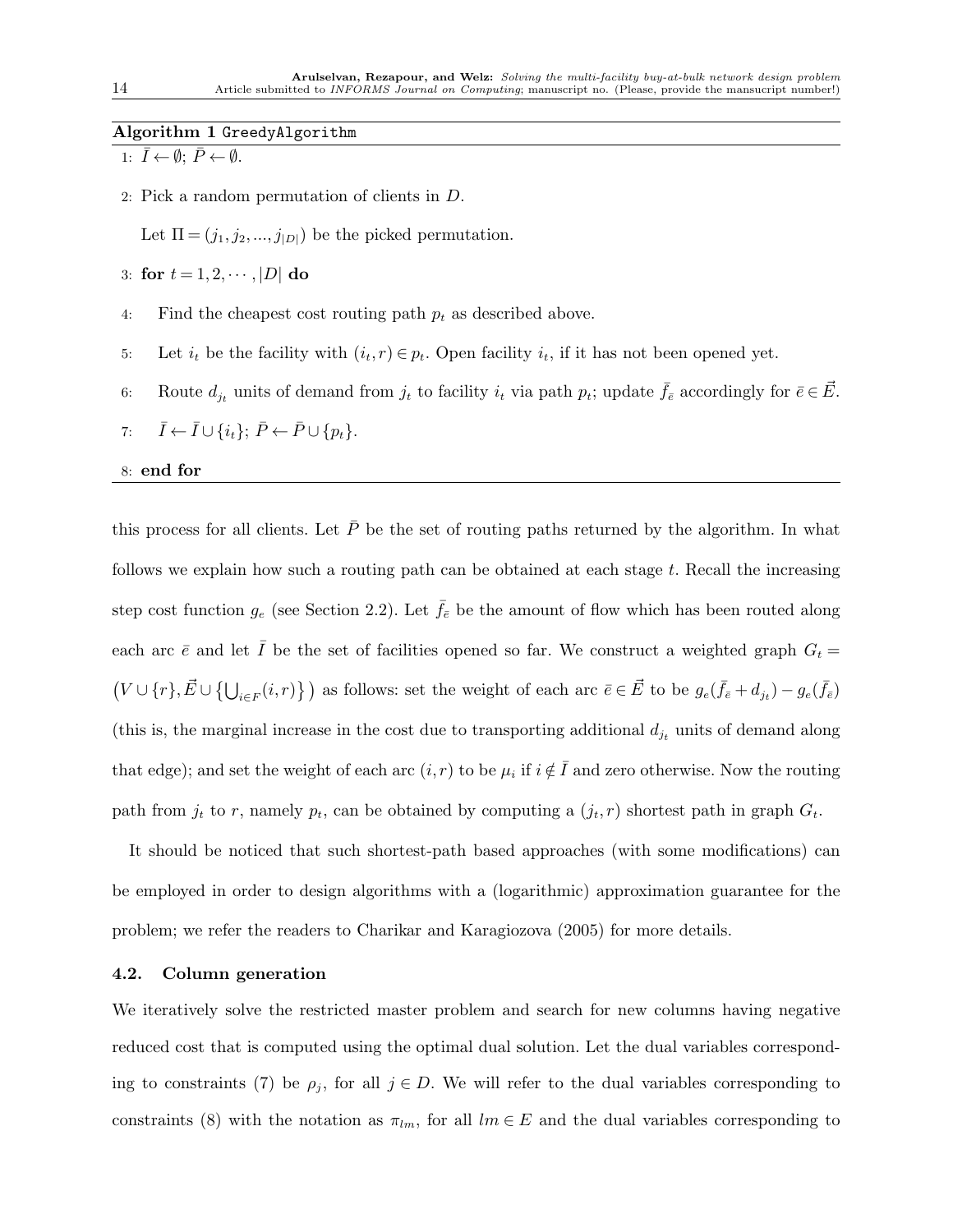## Algorithm 1 GreedyAlgorithm

1:  $\bar{I} \leftarrow \emptyset$ ;  $\bar{P} \leftarrow \emptyset$ .

2: Pick a random permutation of clients in D.

Let  $\Pi = (j_1, j_2, \ldots, j_{|D|})$  be the picked permutation.

- 3: for  $t = 1, 2, \dots, |D|$  do
- 4: Find the cheapest cost routing path  $p_t$  as described above.
- 5: Let  $i_t$  be the facility with  $(i_t, r) \in p_t$ . Open facility  $i_t$ , if it has not been opened yet.
- 6: Route  $d_{j_t}$  units of demand from  $j_t$  to facility  $i_t$  via path  $p_t$ ; update  $\bar{f}_{\bar{e}}$  accordingly for  $\bar{e} \in \vec{E}$ .
- 7:  $\bar{I} \leftarrow \bar{I} \cup \{i_t\}; \bar{P} \leftarrow \bar{P} \cup \{p_t\}.$

#### 8: end for

this process for all clients. Let  $\bar{P}$  be the set of routing paths returned by the algorithm. In what follows we explain how such a routing path can be obtained at each stage  $t$ . Recall the increasing step cost function  $g_e$  (see Section 2.2). Let  $\bar{f}_{\bar{e}}$  be the amount of flow which has been routed along each arc  $\bar{e}$  and let  $\bar{I}$  be the set of facilities opened so far. We construct a weighted graph  $G_t =$  $(V \cup \{r\}, \vec{E} \cup \{\bigcup_{i \in F}(i,r)\})$  as follows: set the weight of each arc  $\vec{e} \in \vec{E}$  to be  $g_e(\bar{f}_e + d_{jt}) - g_e(\bar{f}_e)$ (this is, the marginal increase in the cost due to transporting additional  $d_{j_t}$  units of demand along that edge); and set the weight of each arc  $(i, r)$  to be  $\mu_i$  if  $i \notin \overline{I}$  and zero otherwise. Now the routing path from  $j_t$  to r, namely  $p_t$ , can be obtained by computing a  $(j_t, r)$  shortest path in graph  $G_t$ .

It should be noticed that such shortest-path based approaches (with some modifications) can be employed in order to design algorithms with a (logarithmic) approximation guarantee for the problem; we refer the readers to Charikar and Karagiozova (2005) for more details.

#### 4.2. Column generation

We iteratively solve the restricted master problem and search for new columns having negative reduced cost that is computed using the optimal dual solution. Let the dual variables corresponding to constraints (7) be  $\rho_j$ , for all  $j \in D$ . We will refer to the dual variables corresponding to constraints (8) with the notation as  $\pi_{lm}$ , for all  $lm \in E$  and the dual variables corresponding to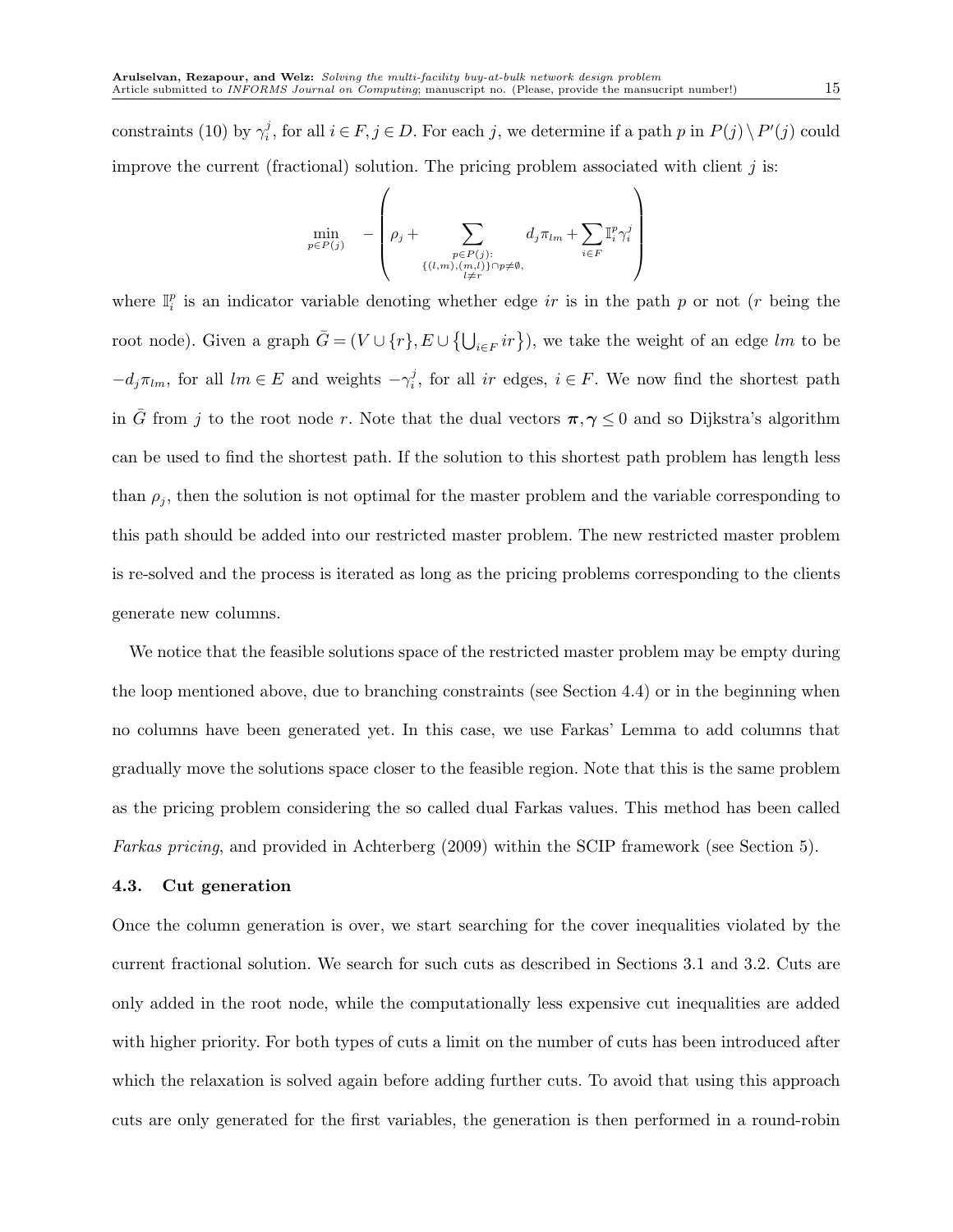constraints (10) by  $\gamma_i^j$ , for all  $i \in F, j \in D$ . For each j, we determine if a path p in  $P(j) \setminus P'(j)$  could improve the current (fractional) solution. The pricing problem associated with client  $j$  is:

$$
\min_{p \in P(j)} \quad -\left(\rho_j + \sum_{\substack{p \in P(j):\\ \{(l,m),(m,l)\} \cap p \neq \emptyset, \\ l \neq r}} d_j \pi_{lm} + \sum_{i \in F} \mathbb{I}_i^p \gamma_i^j\right)
$$

where  $\mathbb{I}_i^p$  is an indicator variable denoting whether edge ir is in the path p or not (r being the root node). Given a graph  $\bar{G} = (V \cup \{r\}, E \cup \{\bigcup_{i \in F} ir\})$ , we take the weight of an edge lm to be  $-d_j\pi_{lm}$ , for all  $lm \in E$  and weights  $-\gamma_i^j$ , for all ir edges,  $i \in F$ . We now find the shortest path in  $\bar{G}$  from j to the root node r. Note that the dual vectors  $\pi, \gamma \leq 0$  and so Dijkstra's algorithm can be used to find the shortest path. If the solution to this shortest path problem has length less than  $\rho_j$ , then the solution is not optimal for the master problem and the variable corresponding to this path should be added into our restricted master problem. The new restricted master problem is re-solved and the process is iterated as long as the pricing problems corresponding to the clients generate new columns.

We notice that the feasible solutions space of the restricted master problem may be empty during the loop mentioned above, due to branching constraints (see Section 4.4) or in the beginning when no columns have been generated yet. In this case, we use Farkas' Lemma to add columns that gradually move the solutions space closer to the feasible region. Note that this is the same problem as the pricing problem considering the so called dual Farkas values. This method has been called *Farkas pricing*, and provided in Achterberg (2009) within the SCIP framework (see Section 5).

#### 4.3. Cut generation

Once the column generation is over, we start searching for the cover inequalities violated by the current fractional solution. We search for such cuts as described in Sections 3.1 and 3.2. Cuts are only added in the root node, while the computationally less expensive cut inequalities are added with higher priority. For both types of cuts a limit on the number of cuts has been introduced after which the relaxation is solved again before adding further cuts. To avoid that using this approach cuts are only generated for the first variables, the generation is then performed in a round-robin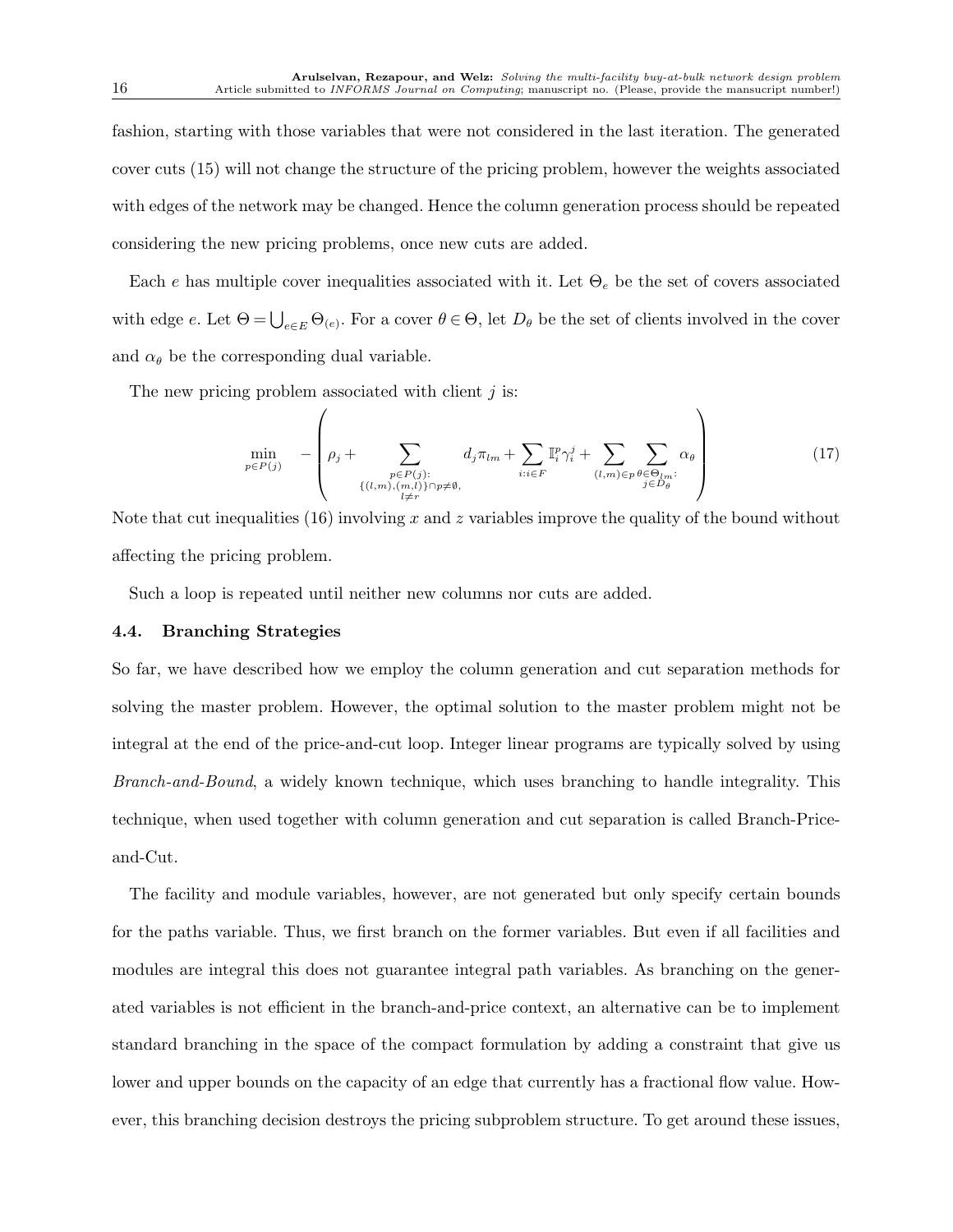fashion, starting with those variables that were not considered in the last iteration. The generated cover cuts (15) will not change the structure of the pricing problem, however the weights associated with edges of the network may be changed. Hence the column generation process should be repeated considering the new pricing problems, once new cuts are added.

Each e has multiple cover inequalities associated with it. Let  $\Theta_e$  be the set of covers associated with edge e. Let  $\Theta = \bigcup_{e \in E} \Theta_{(e)}$ . For a cover  $\theta \in \Theta$ , let  $D_{\theta}$  be the set of clients involved in the cover and  $\alpha_{\theta}$  be the corresponding dual variable.

The new pricing problem associated with client  $j$  is:

$$
\min_{p \in P(j)} \quad -\left(\rho_j + \sum_{\substack{p \in P(j):\\ \{(l,m),(m,l)\} \cap p \neq \emptyset,\\ l \neq r}} d_j \pi_{lm} + \sum_{i:i \in F} \mathbb{I}_i^p \gamma_i^j + \sum_{(l,m) \in p} \sum_{\substack{\theta \in \Theta_{lm}:\\ j \in D_{\theta}}} \alpha_{\theta}\right) \tag{17}
$$

Note that cut inequalities (16) involving x and z variables improve the quality of the bound without affecting the pricing problem.

Such a loop is repeated until neither new columns nor cuts are added.

### 4.4. Branching Strategies

So far, we have described how we employ the column generation and cut separation methods for solving the master problem. However, the optimal solution to the master problem might not be integral at the end of the price-and-cut loop. Integer linear programs are typically solved by using *Branch-and-Bound*, a widely known technique, which uses branching to handle integrality. This technique, when used together with column generation and cut separation is called Branch-Priceand-Cut.

The facility and module variables, however, are not generated but only specify certain bounds for the paths variable. Thus, we first branch on the former variables. But even if all facilities and modules are integral this does not guarantee integral path variables. As branching on the generated variables is not efficient in the branch-and-price context, an alternative can be to implement standard branching in the space of the compact formulation by adding a constraint that give us lower and upper bounds on the capacity of an edge that currently has a fractional flow value. However, this branching decision destroys the pricing subproblem structure. To get around these issues,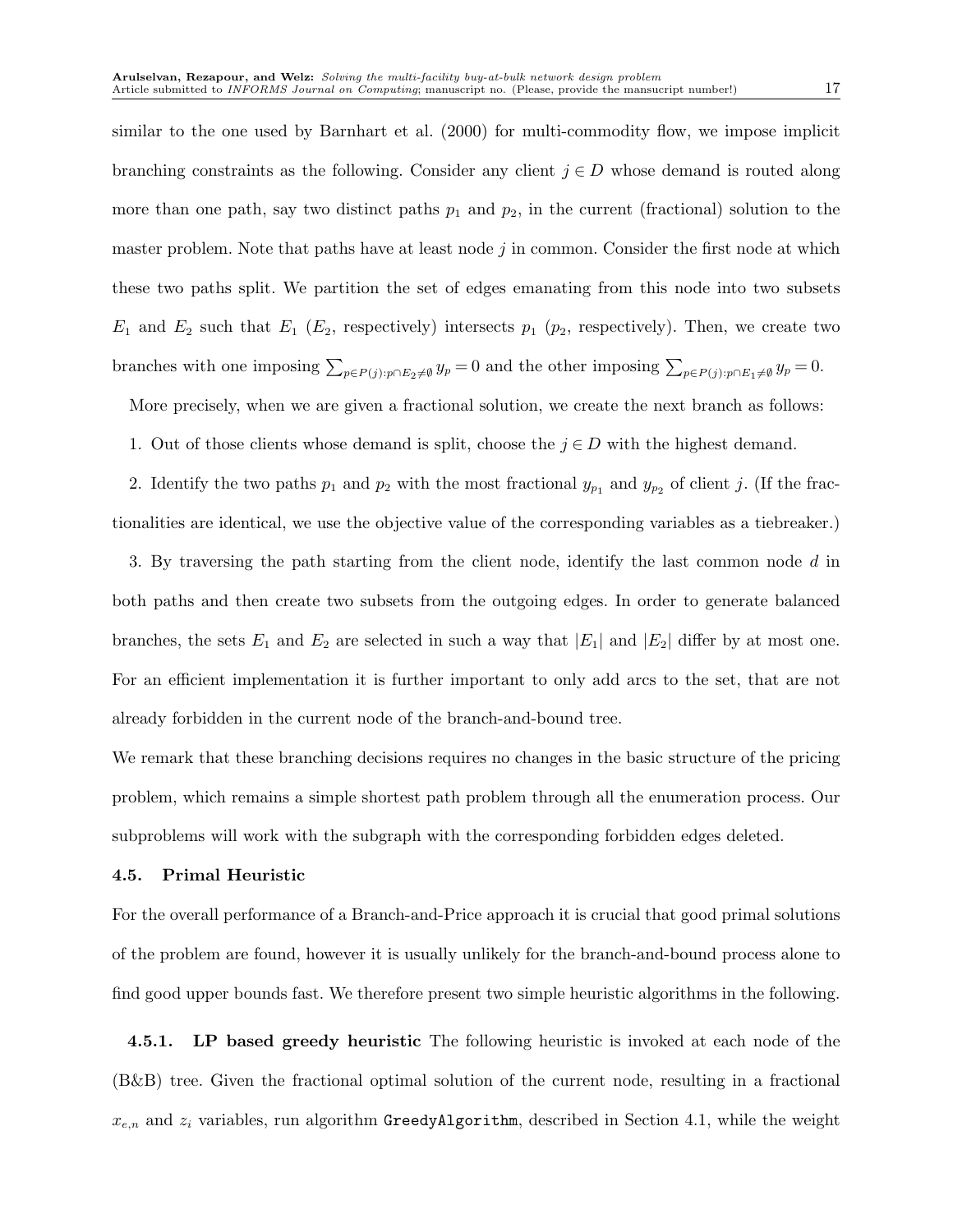similar to the one used by Barnhart et al. (2000) for multi-commodity flow, we impose implicit branching constraints as the following. Consider any client  $j \in D$  whose demand is routed along more than one path, say two distinct paths  $p_1$  and  $p_2$ , in the current (fractional) solution to the master problem. Note that paths have at least node  $j$  in common. Consider the first node at which these two paths split. We partition the set of edges emanating from this node into two subsets  $E_1$  and  $E_2$  such that  $E_1$  ( $E_2$ , respectively) intersects  $p_1$  ( $p_2$ , respectively). Then, we create two branches with one imposing  $\sum_{p \in P(j): p \cap E_2 \neq \emptyset} y_p = 0$  and the other imposing  $\sum_{p \in P(j): p \cap E_1 \neq \emptyset} y_p = 0$ .

More precisely, when we are given a fractional solution, we create the next branch as follows:

1. Out of those clients whose demand is split, choose the  $j \in D$  with the highest demand.

2. Identify the two paths  $p_1$  and  $p_2$  with the most fractional  $y_{p_1}$  and  $y_{p_2}$  of client j. (If the fractionalities are identical, we use the objective value of the corresponding variables as a tiebreaker.)

3. By traversing the path starting from the client node, identify the last common node d in both paths and then create two subsets from the outgoing edges. In order to generate balanced branches, the sets  $E_1$  and  $E_2$  are selected in such a way that  $|E_1|$  and  $|E_2|$  differ by at most one. For an efficient implementation it is further important to only add arcs to the set, that are not already forbidden in the current node of the branch-and-bound tree.

We remark that these branching decisions requires no changes in the basic structure of the pricing problem, which remains a simple shortest path problem through all the enumeration process. Our subproblems will work with the subgraph with the corresponding forbidden edges deleted.

#### 4.5. Primal Heuristic

For the overall performance of a Branch-and-Price approach it is crucial that good primal solutions of the problem are found, however it is usually unlikely for the branch-and-bound process alone to find good upper bounds fast. We therefore present two simple heuristic algorithms in the following.

**4.5.1.** LP based greedy heuristic The following heuristic is invoked at each node of the (B&B) tree. Given the fractional optimal solution of the current node, resulting in a fractional  $x_{e,n}$  and  $z_i$  variables, run algorithm GreedyAlgorithm, described in Section 4.1, while the weight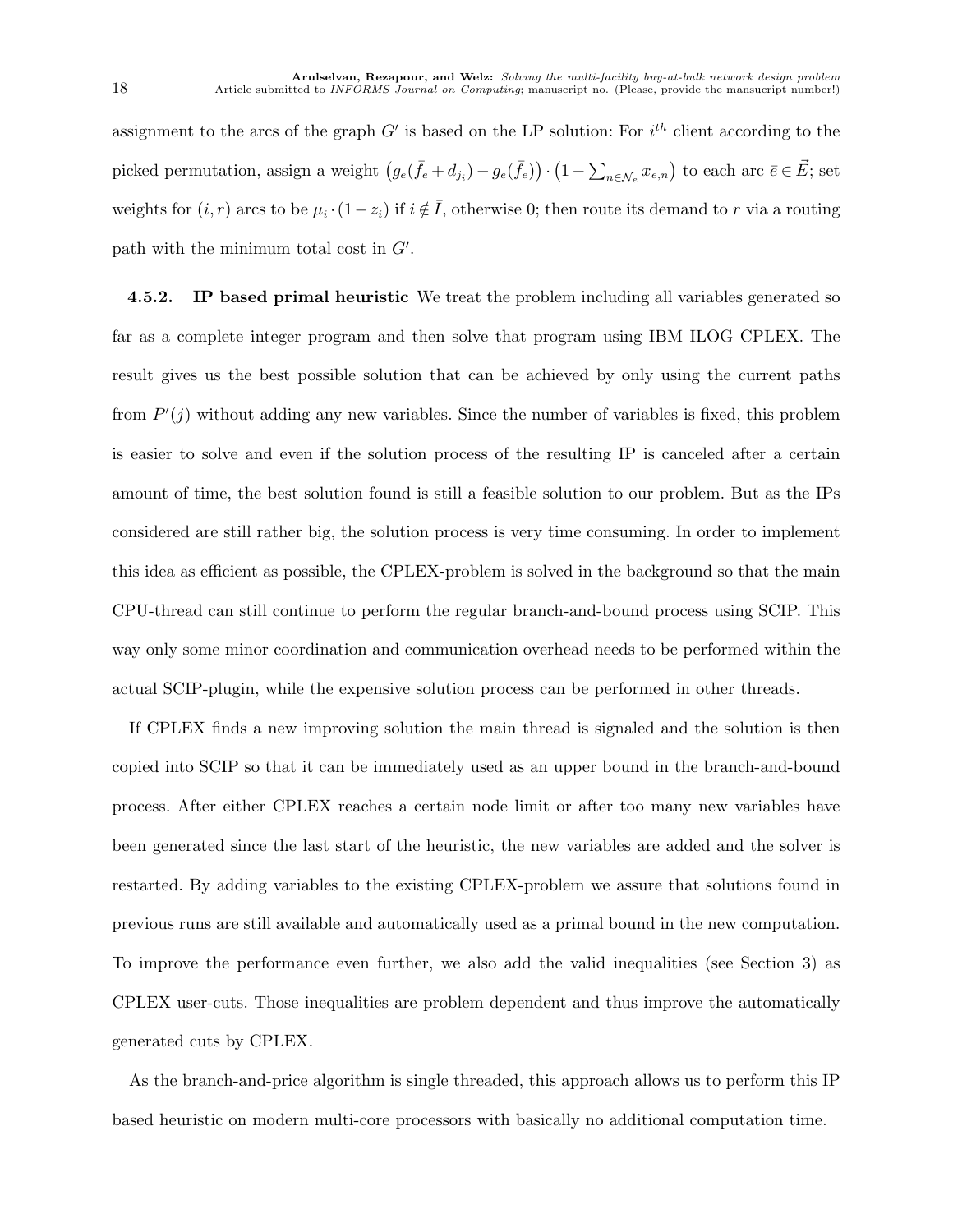assignment to the arcs of the graph  $G'$  is based on the LP solution: For  $i^{th}$  client according to the picked permutation, assign a weight  $(g_e(\bar{f}_\bar{e}+d_{j_i})-g_e(\bar{f}_\bar{e}))\cdot(1-\sum_{n\in\mathcal{N}_e}x_{e,n})$  to each arc  $\bar{e}\in\vec{E}$ ; set weights for  $(i, r)$  arcs to be  $\mu_i \cdot (1 - z_i)$  if  $i \notin \overline{I}$ , otherwise 0; then route its demand to r via a routing path with the minimum total cost in G′ .

**4.5.2.** IP based primal heuristic We treat the problem including all variables generated so far as a complete integer program and then solve that program using IBM ILOG CPLEX. The result gives us the best possible solution that can be achieved by only using the current paths from  $P'(j)$  without adding any new variables. Since the number of variables is fixed, this problem is easier to solve and even if the solution process of the resulting IP is canceled after a certain amount of time, the best solution found is still a feasible solution to our problem. But as the IPs considered are still rather big, the solution process is very time consuming. In order to implement this idea as efficient as possible, the CPLEX-problem is solved in the background so that the main CPU-thread can still continue to perform the regular branch-and-bound process using SCIP. This way only some minor coordination and communication overhead needs to be performed within the actual SCIP-plugin, while the expensive solution process can be performed in other threads.

If CPLEX finds a new improving solution the main thread is signaled and the solution is then copied into SCIP so that it can be immediately used as an upper bound in the branch-and-bound process. After either CPLEX reaches a certain node limit or after too many new variables have been generated since the last start of the heuristic, the new variables are added and the solver is restarted. By adding variables to the existing CPLEX-problem we assure that solutions found in previous runs are still available and automatically used as a primal bound in the new computation. To improve the performance even further, we also add the valid inequalities (see Section 3) as CPLEX user-cuts. Those inequalities are problem dependent and thus improve the automatically generated cuts by CPLEX.

As the branch-and-price algorithm is single threaded, this approach allows us to perform this IP based heuristic on modern multi-core processors with basically no additional computation time.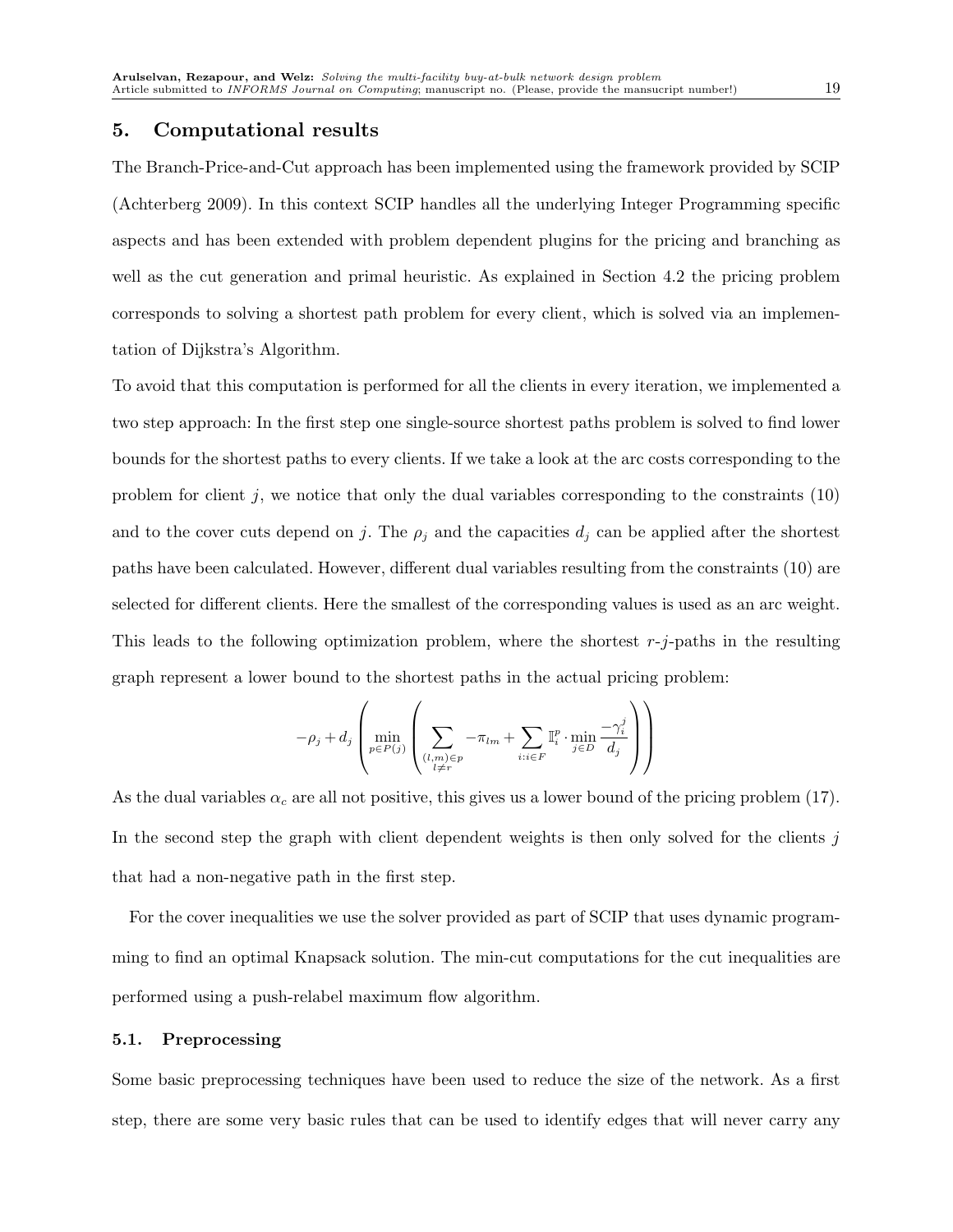## 5. Computational results

The Branch-Price-and-Cut approach has been implemented using the framework provided by SCIP (Achterberg 2009). In this context SCIP handles all the underlying Integer Programming specific aspects and has been extended with problem dependent plugins for the pricing and branching as well as the cut generation and primal heuristic. As explained in Section 4.2 the pricing problem corresponds to solving a shortest path problem for every client, which is solved via an implementation of Dijkstra's Algorithm.

To avoid that this computation is performed for all the clients in every iteration, we implemented a two step approach: In the first step one single-source shortest paths problem is solved to find lower bounds for the shortest paths to every clients. If we take a look at the arc costs corresponding to the problem for client  $j$ , we notice that only the dual variables corresponding to the constraints  $(10)$ and to the cover cuts depend on j. The  $\rho_j$  and the capacities  $d_j$  can be applied after the shortest paths have been calculated. However, different dual variables resulting from the constraints (10) are selected for different clients. Here the smallest of the corresponding values is used as an arc weight. This leads to the following optimization problem, where the shortest  $r-j$ -paths in the resulting graph represent a lower bound to the shortest paths in the actual pricing problem:

$$
-\rho_j + d_j \left( \min_{p \in P(j)} \left( \sum_{\substack{(l,m) \in p \\ l \neq r}} -\pi_{lm} + \sum_{i:i \in F} \mathbb{I}_i^p \cdot \min_{j \in D} \frac{-\gamma_i^j}{d_j} \right) \right)
$$

As the dual variables  $\alpha_c$  are all not positive, this gives us a lower bound of the pricing problem (17). In the second step the graph with client dependent weights is then only solved for the clients  $j$ that had a non-negative path in the first step.

For the cover inequalities we use the solver provided as part of SCIP that uses dynamic programming to find an optimal Knapsack solution. The min-cut computations for the cut inequalities are performed using a push-relabel maximum flow algorithm.

#### 5.1. Preprocessing

Some basic preprocessing techniques have been used to reduce the size of the network. As a first step, there are some very basic rules that can be used to identify edges that will never carry any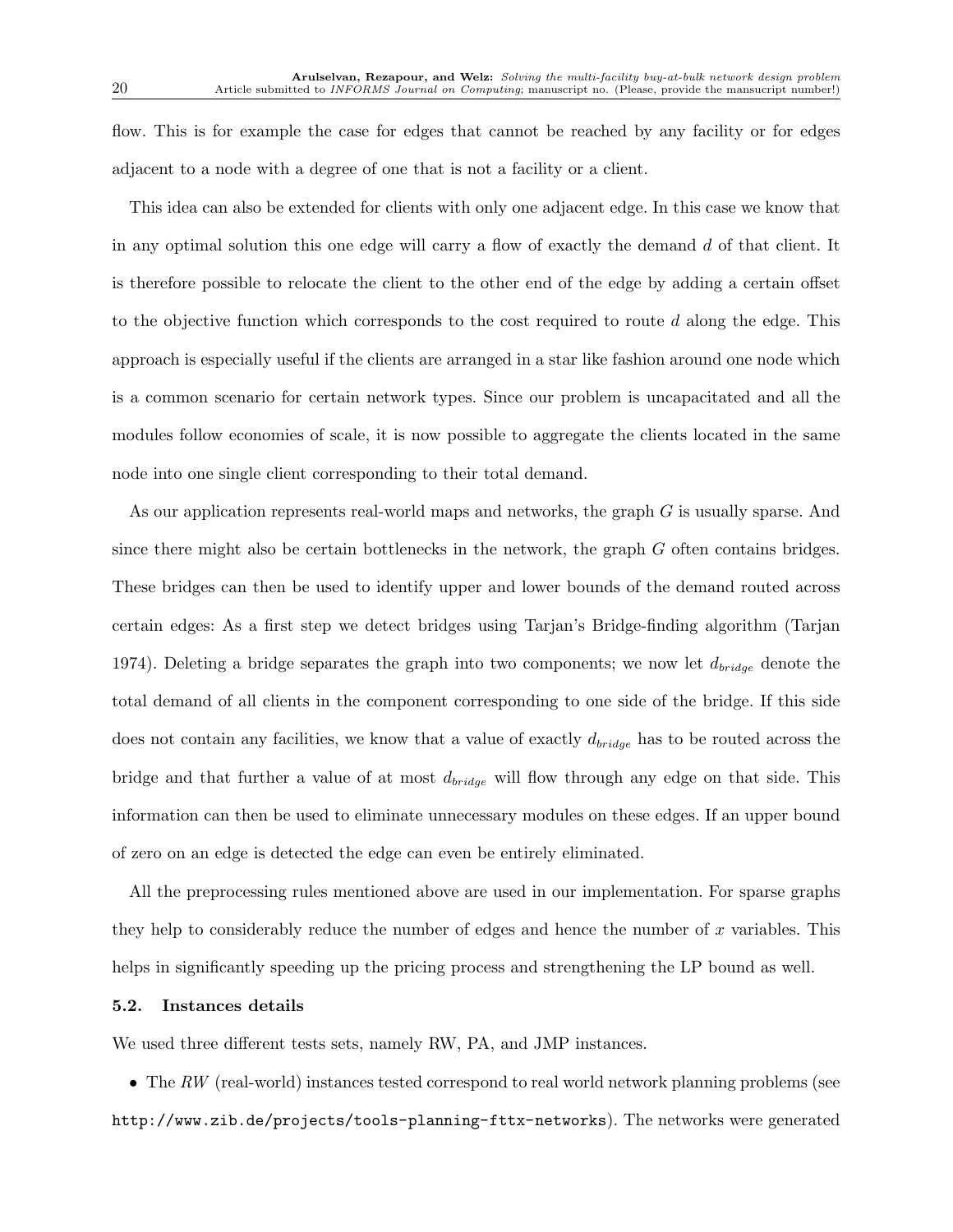flow. This is for example the case for edges that cannot be reached by any facility or for edges adjacent to a node with a degree of one that is not a facility or a client.

This idea can also be extended for clients with only one adjacent edge. In this case we know that in any optimal solution this one edge will carry a flow of exactly the demand d of that client. It is therefore possible to relocate the client to the other end of the edge by adding a certain offset to the objective function which corresponds to the cost required to route  $d$  along the edge. This approach is especially useful if the clients are arranged in a star like fashion around one node which is a common scenario for certain network types. Since our problem is uncapacitated and all the modules follow economies of scale, it is now possible to aggregate the clients located in the same node into one single client corresponding to their total demand.

As our application represents real-world maps and networks, the graph G is usually sparse. And since there might also be certain bottlenecks in the network, the graph  $G$  often contains bridges. These bridges can then be used to identify upper and lower bounds of the demand routed across certain edges: As a first step we detect bridges using Tarjan's Bridge-finding algorithm (Tarjan 1974). Deleting a bridge separates the graph into two components; we now let  $d_{bridge}$  denote the total demand of all clients in the component corresponding to one side of the bridge. If this side does not contain any facilities, we know that a value of exactly  $d_{bridge}$  has to be routed across the bridge and that further a value of at most  $d_{bridge}$  will flow through any edge on that side. This information can then be used to eliminate unnecessary modules on these edges. If an upper bound of zero on an edge is detected the edge can even be entirely eliminated.

All the preprocessing rules mentioned above are used in our implementation. For sparse graphs they help to considerably reduce the number of edges and hence the number of  $x$  variables. This helps in significantly speeding up the pricing process and strengthening the LP bound as well.

#### 5.2. Instances details

We used three different tests sets, namely RW, PA, and JMP instances.

• The *RW* (real-world) instances tested correspond to real world network planning problems (see http://www.zib.de/projects/tools-planning-fttx-networks). The networks were generated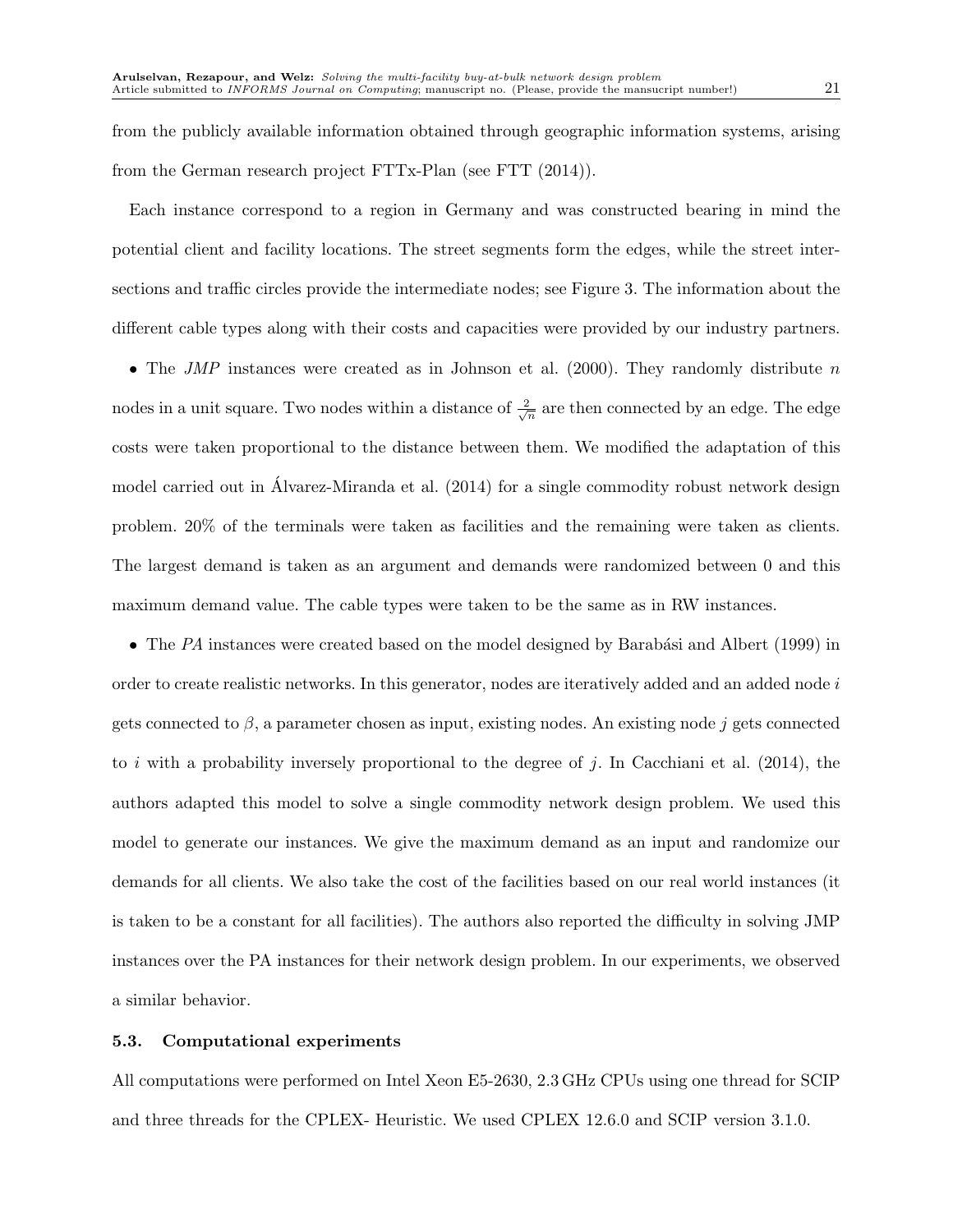from the publicly available information obtained through geographic information systems, arising from the German research project FTTx-Plan (see FTT (2014)).

Each instance correspond to a region in Germany and was constructed bearing in mind the potential client and facility locations. The street segments form the edges, while the street intersections and traffic circles provide the intermediate nodes; see Figure 3. The information about the different cable types along with their costs and capacities were provided by our industry partners.

• The *JMP* instances were created as in Johnson et al. (2000). They randomly distribute n nodes in a unit square. Two nodes within a distance of  $\frac{2}{\sqrt{n}}$  are then connected by an edge. The edge costs were taken proportional to the distance between them. We modified the adaptation of this model carried out in Alvarez-Miranda et al. (2014) for a single commodity robust network design problem. 20% of the terminals were taken as facilities and the remaining were taken as clients. The largest demand is taken as an argument and demands were randomized between 0 and this maximum demand value. The cable types were taken to be the same as in RW instances.

• The PA instances were created based on the model designed by Barabási and Albert (1999) in order to create realistic networks. In this generator, nodes are iteratively added and an added node i gets connected to  $\beta$ , a parameter chosen as input, existing nodes. An existing node j gets connected to i with a probability inversely proportional to the degree of j. In Cacchiani et al.  $(2014)$ , the authors adapted this model to solve a single commodity network design problem. We used this model to generate our instances. We give the maximum demand as an input and randomize our demands for all clients. We also take the cost of the facilities based on our real world instances (it is taken to be a constant for all facilities). The authors also reported the difficulty in solving JMP instances over the PA instances for their network design problem. In our experiments, we observed a similar behavior.

#### 5.3. Computational experiments

All computations were performed on Intel Xeon E5-2630, 2.3 GHz CPUs using one thread for SCIP and three threads for the CPLEX- Heuristic. We used CPLEX 12.6.0 and SCIP version 3.1.0.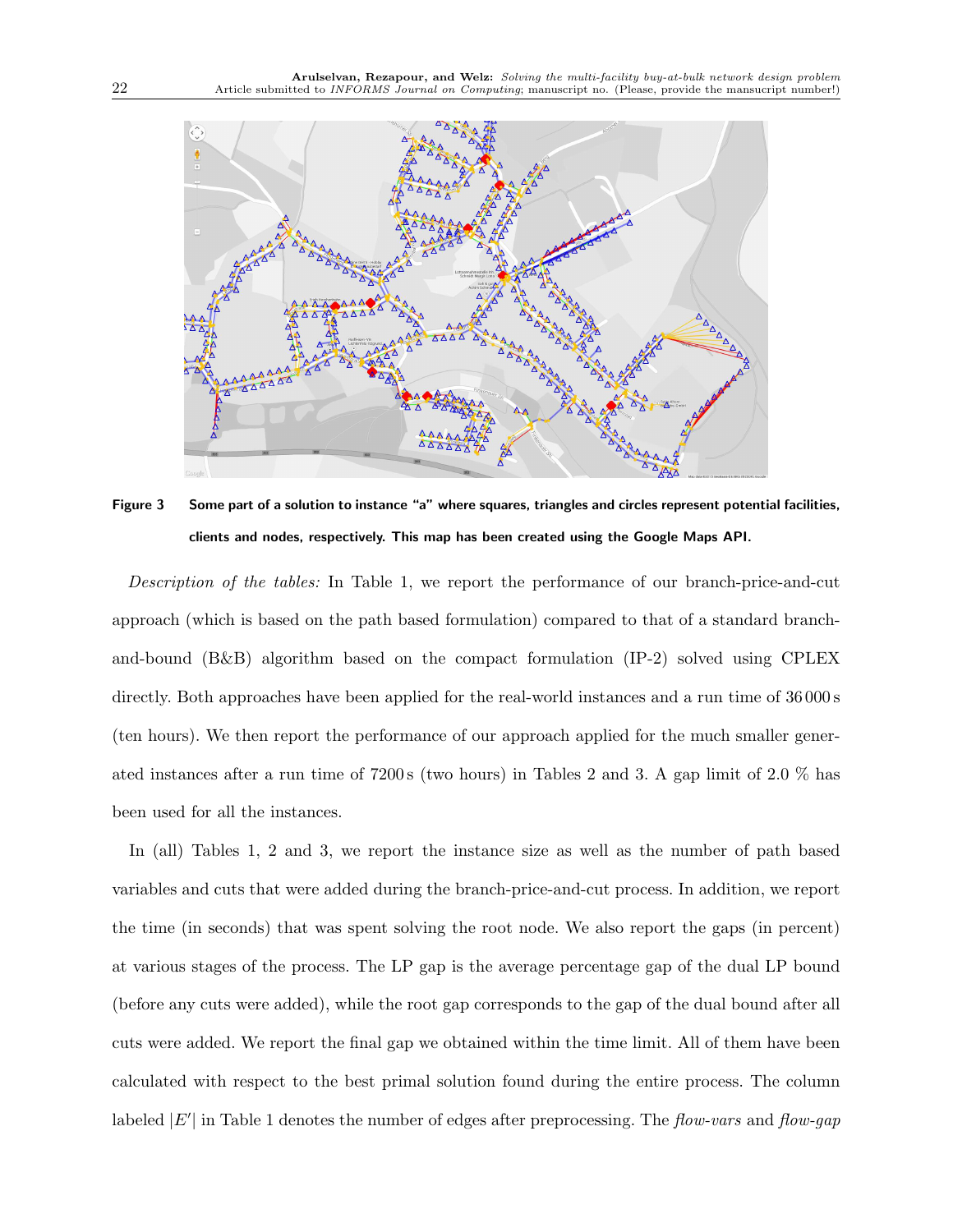

Figure 3 Some part of a solution to instance "a" where squares, triangles and circles represent potential facilities, clients and nodes, respectively. This map has been created using the Google Maps API.

*Description of the tables:* In Table 1, we report the performance of our branch-price-and-cut approach (which is based on the path based formulation) compared to that of a standard branchand-bound (B&B) algorithm based on the compact formulation (IP-2) solved using CPLEX directly. Both approaches have been applied for the real-world instances and a run time of  $36\,000\,\text{s}$ (ten hours). We then report the performance of our approach applied for the much smaller generated instances after a run time of 7200 s (two hours) in Tables 2 and 3. A gap limit of 2.0 % has been used for all the instances.

In (all) Tables 1, 2 and 3, we report the instance size as well as the number of path based variables and cuts that were added during the branch-price-and-cut process. In addition, we report the time (in seconds) that was spent solving the root node. We also report the gaps (in percent) at various stages of the process. The LP gap is the average percentage gap of the dual LP bound (before any cuts were added), while the root gap corresponds to the gap of the dual bound after all cuts were added. We report the final gap we obtained within the time limit. All of them have been calculated with respect to the best primal solution found during the entire process. The column labeled |E′ | in Table 1 denotes the number of edges after preprocessing. The *flow-vars* and *flow-gap*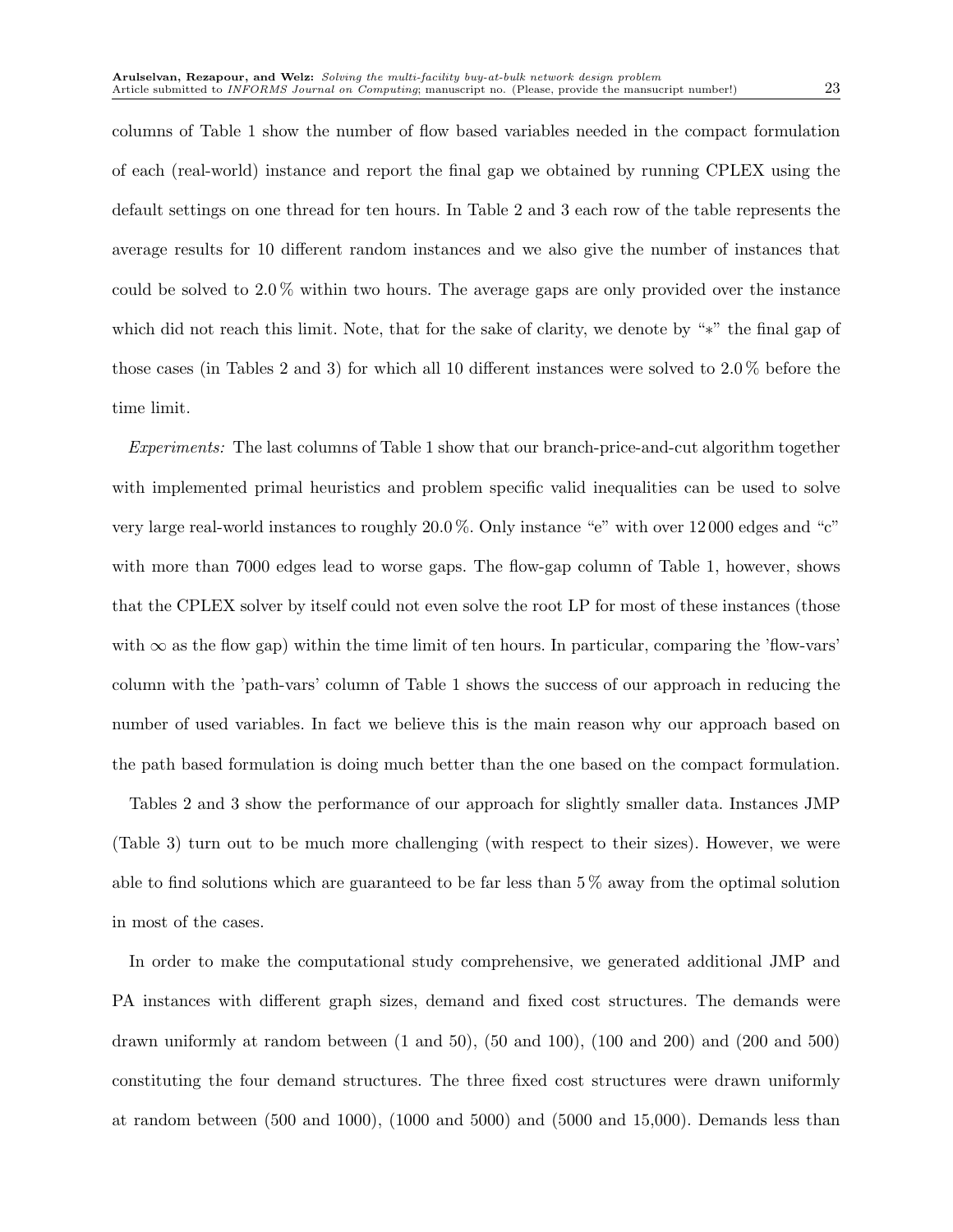columns of Table 1 show the number of flow based variables needed in the compact formulation of each (real-world) instance and report the final gap we obtained by running CPLEX using the default settings on one thread for ten hours. In Table 2 and 3 each row of the table represents the average results for 10 different random instances and we also give the number of instances that could be solved to 2.0 % within two hours. The average gaps are only provided over the instance which did not reach this limit. Note, that for the sake of clarity, we denote by "∗" the final gap of those cases (in Tables 2 and 3) for which all 10 different instances were solved to 2.0 % before the time limit.

*Experiments:* The last columns of Table 1 show that our branch-price-and-cut algorithm together with implemented primal heuristics and problem specific valid inequalities can be used to solve very large real-world instances to roughly 20.0 %. Only instance "e" with over 12 000 edges and "c" with more than 7000 edges lead to worse gaps. The flow-gap column of Table 1, however, shows that the CPLEX solver by itself could not even solve the root LP for most of these instances (those with  $\infty$  as the flow gap) within the time limit of ten hours. In particular, comparing the 'flow-vars' column with the 'path-vars' column of Table 1 shows the success of our approach in reducing the number of used variables. In fact we believe this is the main reason why our approach based on the path based formulation is doing much better than the one based on the compact formulation.

Tables 2 and 3 show the performance of our approach for slightly smaller data. Instances JMP (Table 3) turn out to be much more challenging (with respect to their sizes). However, we were able to find solutions which are guaranteed to be far less than  $5\%$  away from the optimal solution in most of the cases.

In order to make the computational study comprehensive, we generated additional JMP and PA instances with different graph sizes, demand and fixed cost structures. The demands were drawn uniformly at random between (1 and 50), (50 and 100), (100 and 200) and (200 and 500) constituting the four demand structures. The three fixed cost structures were drawn uniformly at random between (500 and 1000), (1000 and 5000) and (5000 and 15,000). Demands less than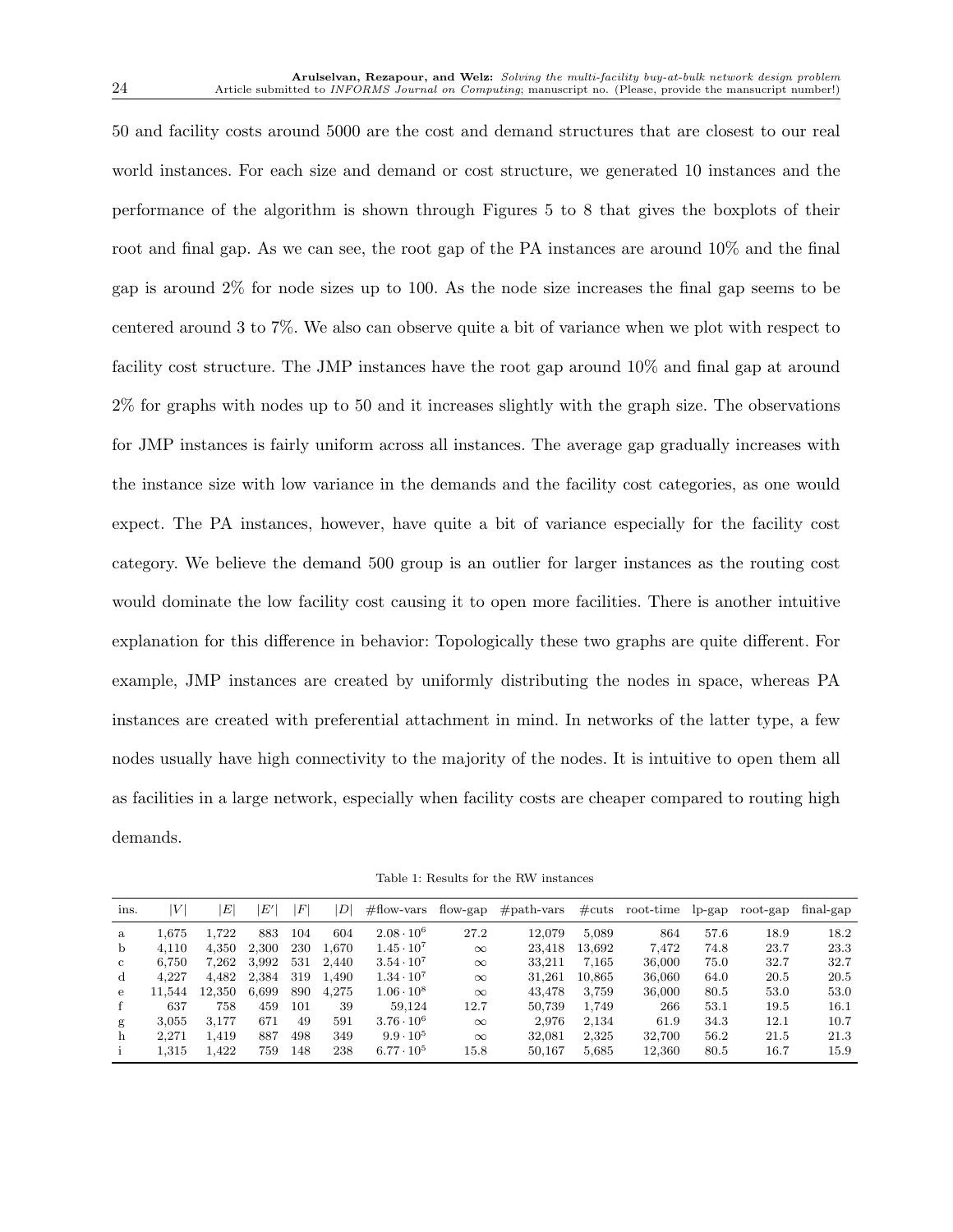50 and facility costs around 5000 are the cost and demand structures that are closest to our real world instances. For each size and demand or cost structure, we generated 10 instances and the performance of the algorithm is shown through Figures 5 to 8 that gives the boxplots of their root and final gap. As we can see, the root gap of the PA instances are around 10% and the final gap is around 2% for node sizes up to 100. As the node size increases the final gap seems to be centered around 3 to 7%. We also can observe quite a bit of variance when we plot with respect to facility cost structure. The JMP instances have the root gap around 10% and final gap at around 2% for graphs with nodes up to 50 and it increases slightly with the graph size. The observations for JMP instances is fairly uniform across all instances. The average gap gradually increases with the instance size with low variance in the demands and the facility cost categories, as one would expect. The PA instances, however, have quite a bit of variance especially for the facility cost category. We believe the demand 500 group is an outlier for larger instances as the routing cost would dominate the low facility cost causing it to open more facilities. There is another intuitive explanation for this difference in behavior: Topologically these two graphs are quite different. For example, JMP instances are created by uniformly distributing the nodes in space, whereas PA instances are created with preferential attachment in mind. In networks of the latter type, a few nodes usually have high connectivity to the majority of the nodes. It is intuitive to open them all as facilities in a large network, especially when facility costs are cheaper compared to routing high demands.

Table 1: Results for the RW instances

| ins. | V      | E      | $E^\prime$ | F   | D     | $#$ flow-vars       | flow-gap | $#path-vars$ | $\#\text{cuts}$ | root-time | $lp$ -gap | root-gap | final-gap |
|------|--------|--------|------------|-----|-------|---------------------|----------|--------------|-----------------|-----------|-----------|----------|-----------|
| a    | 1.675  | 1.722  | 883        | 104 | 604   | $2.08 \cdot 10^6$   | 27.2     | 12,079       | 5.089           | 864       | 57.6      | 18.9     | 18.2      |
| b    | 4.110  | 4.350  | 2,300      | 230 | 1.670 | $1.45 \cdot 10^{7}$ | $\infty$ | 23.418       | 13.692          | 7.472     | 74.8      | 23.7     | 23.3      |
| C    | 6.750  | 7,262  | 3,992      | 531 | 2.440 | $3.54 \cdot 10^7$   | $\infty$ | 33.211       | 7.165           | 36,000    | 75.0      | 32.7     | 32.7      |
| d    | 4.227  | 4,482  | 2,384      | 319 | 1.490 | $1.34 \cdot 10^{7}$ | $\infty$ | 31,261       | 10.865          | 36,060    | 64.0      | 20.5     | 20.5      |
| е    | 11.544 | 12,350 | 6,699      | 890 | 4.275 | $1.06 \cdot 10^8$   | $\infty$ | 43.478       | 3,759           | 36,000    | 80.5      | 53.0     | 53.0      |
| f    | 637    | 758    | 459        | 101 | 39    | 59.124              | 12.7     | 50.739       | 1.749           | 266       | 53.1      | 19.5     | 16.1      |
| g    | 3.055  | 3.177  | 671        | 49  | 591   | $3.76 \cdot 10^6$   | $\infty$ | 2.976        | 2,134           | 61.9      | 34.3      | 12.1     | 10.7      |
| h    | 2.271  | 1.419  | 887        | 498 | 349   | $9.9 \cdot 10^5$    | $\infty$ | 32,081       | 2.325           | 32.700    | 56.2      | 21.5     | 21.3      |
|      | 1.315  | 1.422  | 759        | 148 | 238   | $6.77 \cdot 10^{5}$ | 15.8     | 50,167       | 5.685           | 12,360    | 80.5      | 16.7     | 15.9      |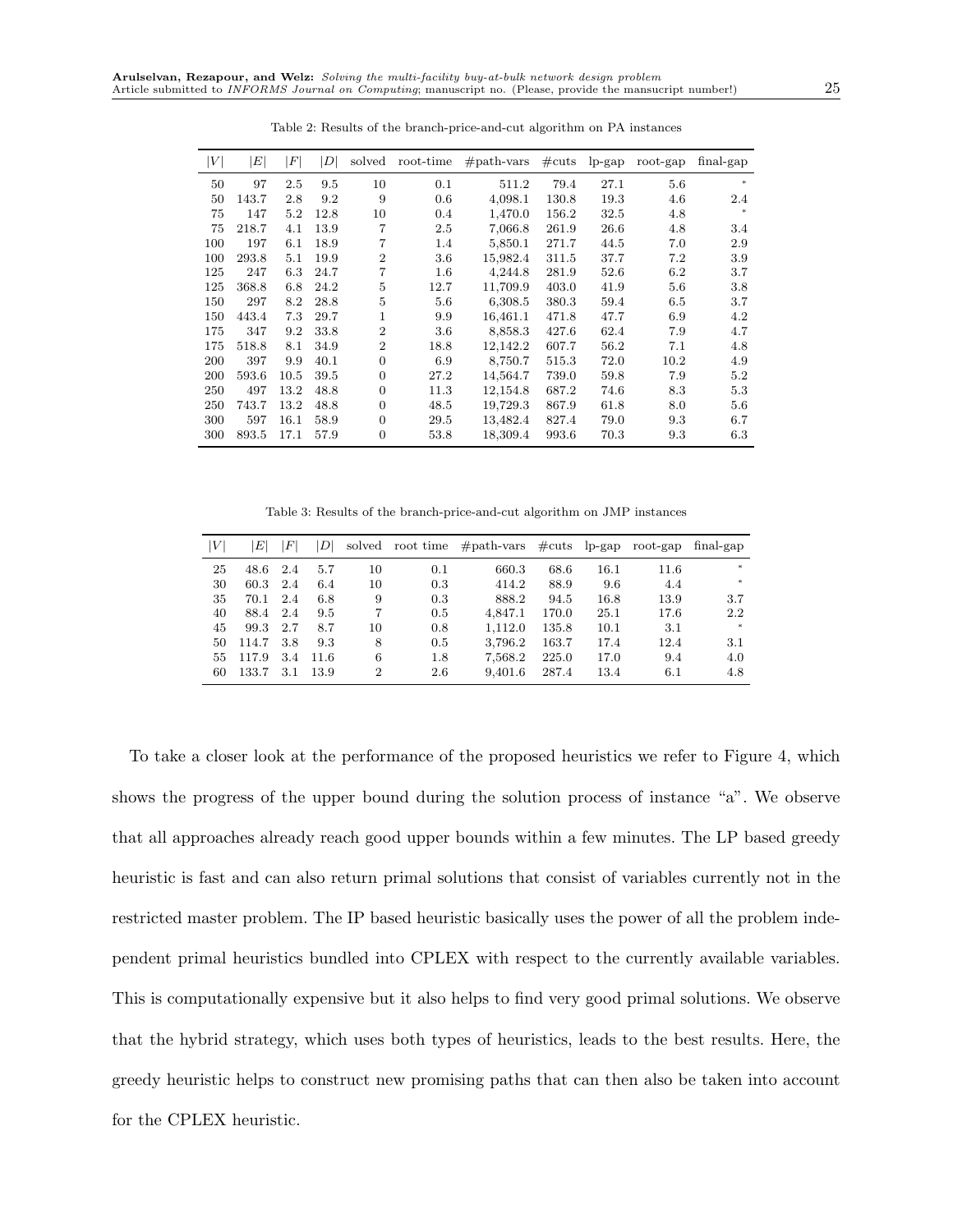| $\left V\right $ | $E\vert$ | F    | D    | solved         | root-time | $#path-vars$ | $\#\text{cuts}$ | $lp$ -gap | $root$ -gap | $final$ -gap |
|------------------|----------|------|------|----------------|-----------|--------------|-----------------|-----------|-------------|--------------|
| 50               | 97       | 2.5  | 9.5  | 10             | 0.1       | 511.2        | 79.4            | 27.1      | $5.6\,$     | $*$          |
| 50               | 143.7    | 2.8  | 9.2  | 9              | 0.6       | 4,098.1      | 130.8           | 19.3      | 4.6         | 2.4          |
| 75               | 147      | 5.2  | 12.8 | 10             | 0.4       | 1,470.0      | 156.2           | 32.5      | 4.8         |              |
| 75               | 218.7    | 4.1  | 13.9 | 7              | 2.5       | 7,066.8      | 261.9           | 26.6      | 4.8         | 3.4          |
| 100              | 197      | 6.1  | 18.9 | $\overline{7}$ | 1.4       | 5,850.1      | 271.7           | 44.5      | 7.0         | 2.9          |
| 100              | 293.8    | 5.1  | 19.9 | $\overline{2}$ | 3.6       | 15,982.4     | 311.5           | 37.7      | 7.2         | 3.9          |
| 125              | 247      | 6.3  | 24.7 | 7              | $1.6\,$   | 4,244.8      | 281.9           | 52.6      | 6.2         | 3.7          |
| 125              | 368.8    | 6.8  | 24.2 | 5              | 12.7      | 11,709.9     | 403.0           | 41.9      | 5.6         | 3.8          |
| 150              | 297      | 8.2  | 28.8 | 5              | 5.6       | 6,308.5      | 380.3           | 59.4      | 6.5         | 3.7          |
| 150              | 443.4    | 7.3  | 29.7 | $\mathbf{1}$   | 9.9       | 16,461.1     | 471.8           | 47.7      | 6.9         | 4.2          |
| 175              | 347      | 9.2  | 33.8 | $\overline{2}$ | 3.6       | 8,858.3      | 427.6           | 62.4      | 7.9         | 4.7          |
| 175              | 518.8    | 8.1  | 34.9 | $\overline{2}$ | 18.8      | 12,142.2     | 607.7           | 56.2      | 7.1         | 4.8          |
| 200              | 397      | 9.9  | 40.1 | $\overline{0}$ | 6.9       | 8,750.7      | 515.3           | 72.0      | 10.2        | 4.9          |
| 200              | 593.6    | 10.5 | 39.5 | $\overline{0}$ | 27.2      | 14,564.7     | 739.0           | 59.8      | 7.9         | 5.2          |
| 250              | 497      | 13.2 | 48.8 | 0              | 11.3      | 12,154.8     | 687.2           | 74.6      | 8.3         | 5.3          |
| 250              | 743.7    | 13.2 | 48.8 | $\overline{0}$ | 48.5      | 19,729.3     | 867.9           | 61.8      | 8.0         | 5.6          |
| 300              | 597      | 16.1 | 58.9 | $\overline{0}$ | 29.5      | 13,482.4     | 827.4           | 79.0      | 9.3         | 6.7          |
| 300              | 893.5    | 17.1 | 57.9 | $\overline{0}$ | 53.8      | 18,309.4     | 993.6           | 70.3      | 9.3         | 6.3          |

Table 2: Results of the branch-price-and-cut algorithm on PA instances

Table 3: Results of the branch-price-and-cut algorithm on JMP instances

| $\left V\right $ | $\scriptstyle E$ l | $_{\it F}$ | DI   |    |         | solved root time #path-vars | $\#\text{cuts}$ | $lp$ -gap | $root$ -gap | final-gap |
|------------------|--------------------|------------|------|----|---------|-----------------------------|-----------------|-----------|-------------|-----------|
| 25               | 48.6               | 2.4        | 5.7  | 10 | 0.1     | 660.3                       | 68.6            | $16.1\,$  | 11.6        | $*$       |
| 30               | 60.3               | 2.4        | 6.4  | 10 | 0.3     | 414.2                       | 88.9            | 9.6       | 4.4         | $*$       |
| 35               | 70.1               | 2.4        | 6.8  | 9  | 0.3     | 888.2                       | 94.5            | 16.8      | 13.9        | 3.7       |
| 40               | 88.4               | 2.4        | 9.5  |    | 0.5     | 4.847.1                     | 170.0           | 25.1      | 17.6        | 2.2       |
| 45               | 99.3               | 2.7        | 8.7  | 10 | 0.8     | 1.112.0                     | 135.8           | 10.1      | 3.1         | $*$       |
| 50               | 114.7              | 3.8        | 9.3  | 8  | 0.5     | 3.796.2                     | 163.7           | 17.4      | 12.4        | 3.1       |
| 55               | 117.9              | 3.4        | 11.6 | 6  | $1.8\,$ | 7,568.2                     | 225.0           | 17.0      | 9.4         | 4.0       |
| 60               | 133.7              | 3.1        | 13.9 | 2  | 2.6     | 9,401.6                     | 287.4           | 13.4      | 6.1         | 4.8       |

To take a closer look at the performance of the proposed heuristics we refer to Figure 4, which shows the progress of the upper bound during the solution process of instance "a". We observe that all approaches already reach good upper bounds within a few minutes. The LP based greedy heuristic is fast and can also return primal solutions that consist of variables currently not in the restricted master problem. The IP based heuristic basically uses the power of all the problem independent primal heuristics bundled into CPLEX with respect to the currently available variables. This is computationally expensive but it also helps to find very good primal solutions. We observe that the hybrid strategy, which uses both types of heuristics, leads to the best results. Here, the greedy heuristic helps to construct new promising paths that can then also be taken into account for the CPLEX heuristic.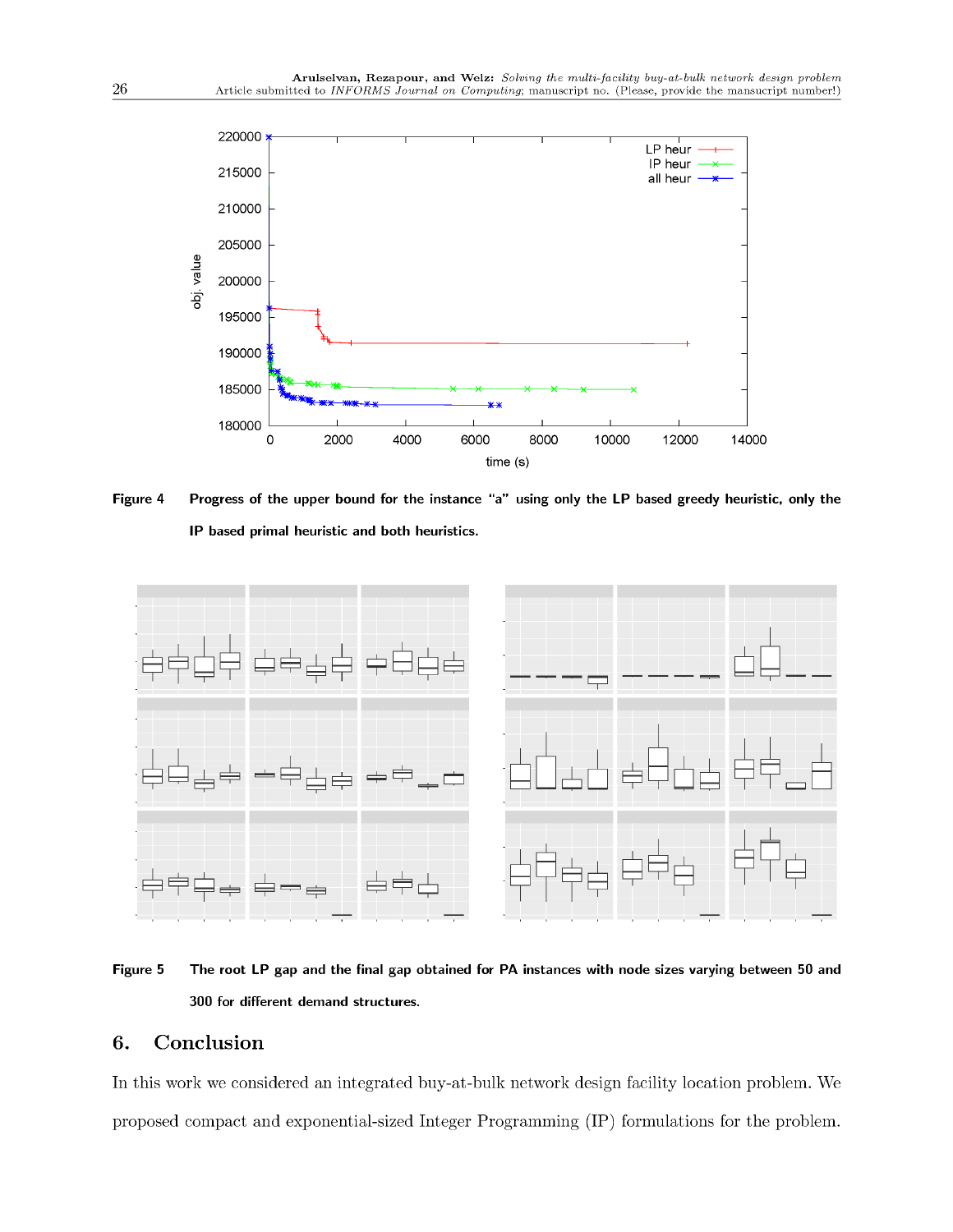

Figure 4 Progress of the upper bound for the instance "a" using only the LP based greedy heuristic, only the IP based primal heuristic and both heuristics.



Figure 5 The root LP gap and the final gap obtained for PA instances with node sizes varying between 50 and 300 for different demand structures.

#### 6. Conclusion

In this work we considered an integrated buy-at-bulk network design facility location problem. We proposed compact and exponential-sized Integer Programming (IP) formulations for the problem.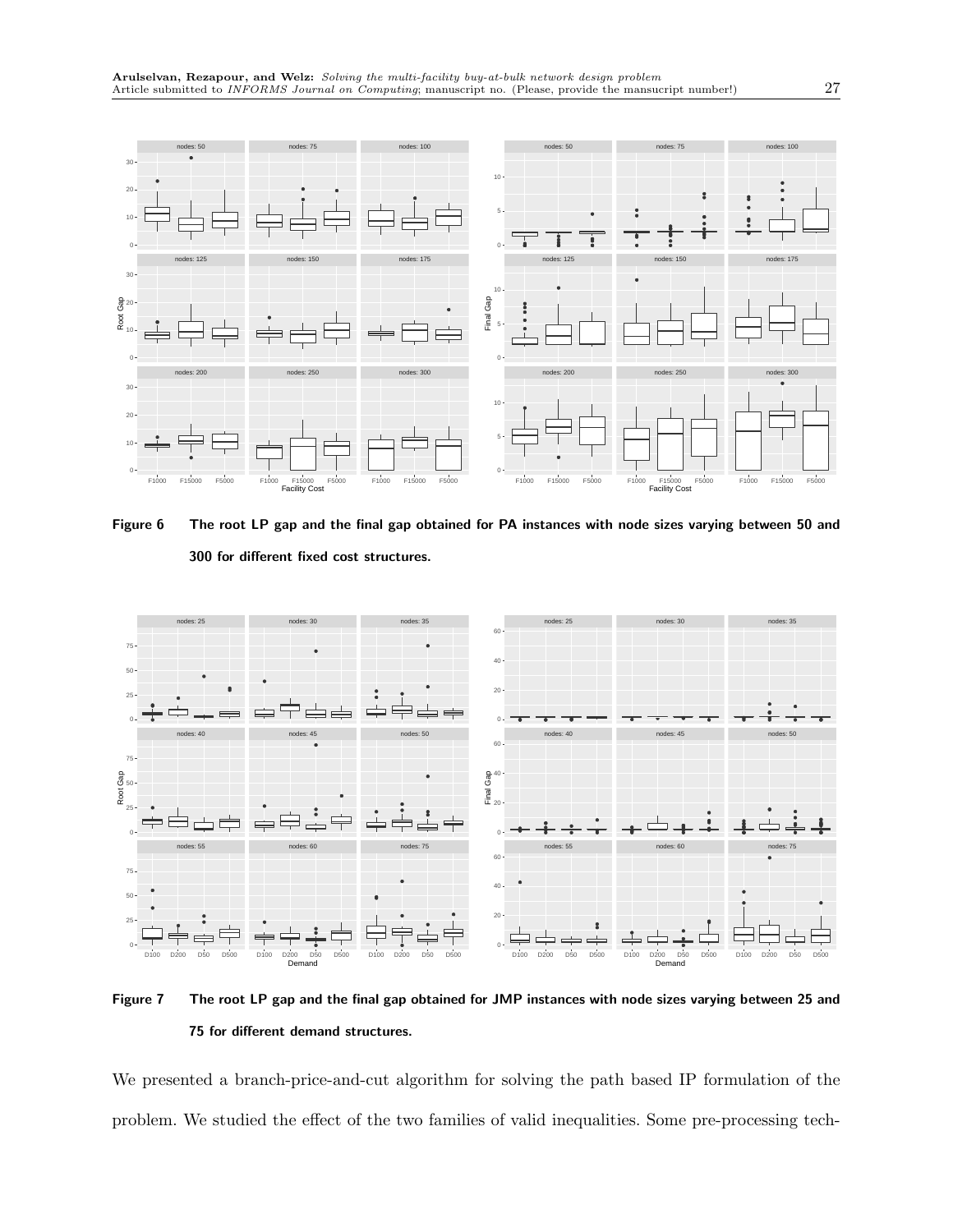

Figure 6 The root LP gap and the final gap obtained for PA instances with node sizes varying between 50 and 300 for different fixed cost structures.



Figure 7 The root LP gap and the final gap obtained for JMP instances with node sizes varying between 25 and 75 for different demand structures.

We presented a branch-price-and-cut algorithm for solving the path based IP formulation of the problem. We studied the effect of the two families of valid inequalities. Some pre-processing tech-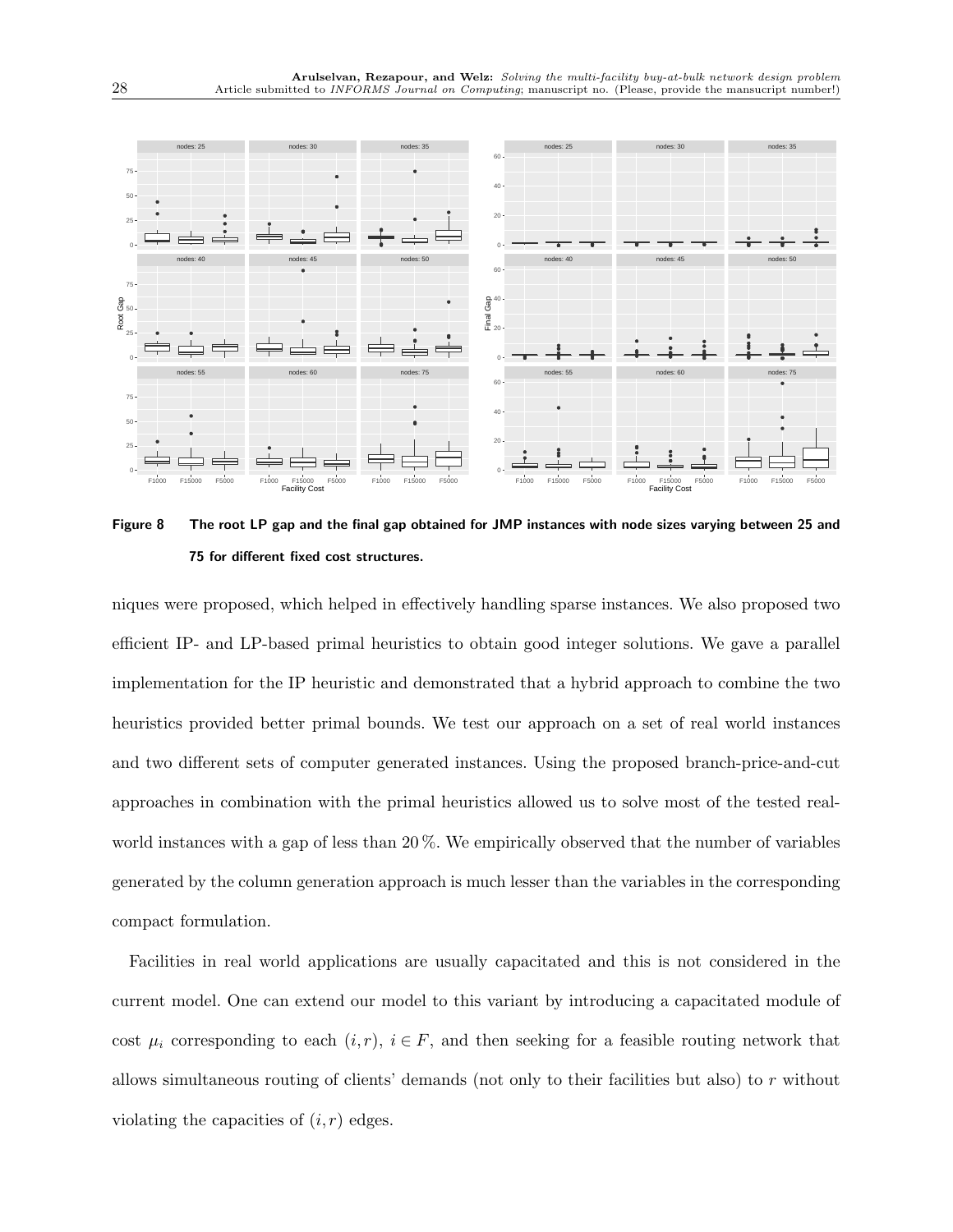

Figure 8 The root LP gap and the final gap obtained for JMP instances with node sizes varying between 25 and 75 for different fixed cost structures.

niques were proposed, which helped in effectively handling sparse instances. We also proposed two efficient IP- and LP-based primal heuristics to obtain good integer solutions. We gave a parallel implementation for the IP heuristic and demonstrated that a hybrid approach to combine the two heuristics provided better primal bounds. We test our approach on a set of real world instances and two different sets of computer generated instances. Using the proposed branch-price-and-cut approaches in combination with the primal heuristics allowed us to solve most of the tested realworld instances with a gap of less than 20 %. We empirically observed that the number of variables generated by the column generation approach is much lesser than the variables in the corresponding compact formulation.

Facilities in real world applications are usually capacitated and this is not considered in the current model. One can extend our model to this variant by introducing a capacitated module of cost  $\mu_i$  corresponding to each  $(i, r)$ ,  $i \in F$ , and then seeking for a feasible routing network that allows simultaneous routing of clients' demands (not only to their facilities but also) to r without violating the capacities of  $(i, r)$  edges.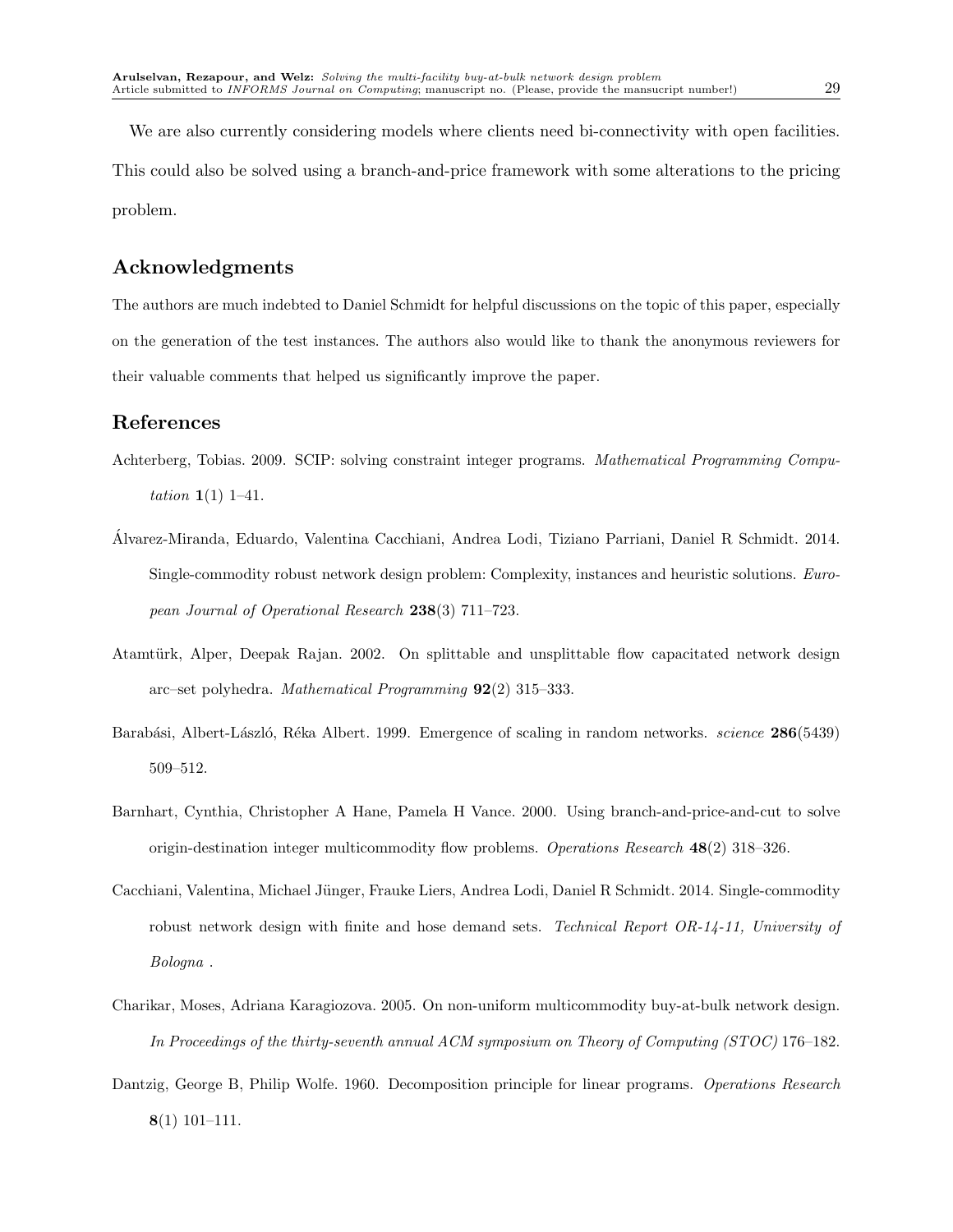We are also currently considering models where clients need bi-connectivity with open facilities. This could also be solved using a branch-and-price framework with some alterations to the pricing problem.

## Acknowledgments

The authors are much indebted to Daniel Schmidt for helpful discussions on the topic of this paper, especially on the generation of the test instances. The authors also would like to thank the anonymous reviewers for their valuable comments that helped us significantly improve the paper.

## References

- Achterberg, Tobias. 2009. SCIP: solving constraint integer programs. *Mathematical Programming Computation* 1(1) 1–41.
- Alvarez-Miranda, Eduardo, Valentina Cacchiani, Andrea Lodi, Tiziano Par ´ riani, Daniel R Schmidt. 2014. Single-commodity robust network design problem: Complexity, instances and heuristic solutions. *European Journal of Operational Research* 238(3) 711–723.
- Atamtürk, Alper, Deepak Rajan. 2002. On splittable and unsplittable flow capacitated network design arc–set polyhedra. *Mathematical Programming* 92(2) 315–333.
- Barabási, Albert-László, Réka Albert. 1999. Emergence of scaling in random networks. *science* **286**(5439) 509–512.
- Barnhart, Cynthia, Christopher A Hane, Pamela H Vance. 2000. Using branch-and-price-and-cut to solve origin-destination integer multicommodity flow problems. *Operations Research* 48(2) 318–326.
- Cacchiani, Valentina, Michael Jünger, Frauke Liers, Andrea Lodi, Daniel R Schmidt. 2014. Single-commodity robust network design with finite and hose demand sets. *Technical Report OR-14-11, University of Bologna* .
- Charikar, Moses, Adriana Karagiozova. 2005. On non-uniform multicommodity buy-at-bulk network design. *In Proceedings of the thirty-seventh annual ACM symposium on Theory of Computing (STOC)* 176–182.
- Dantzig, George B, Philip Wolfe. 1960. Decomposition principle for linear programs. *Operations Research* 8(1) 101–111.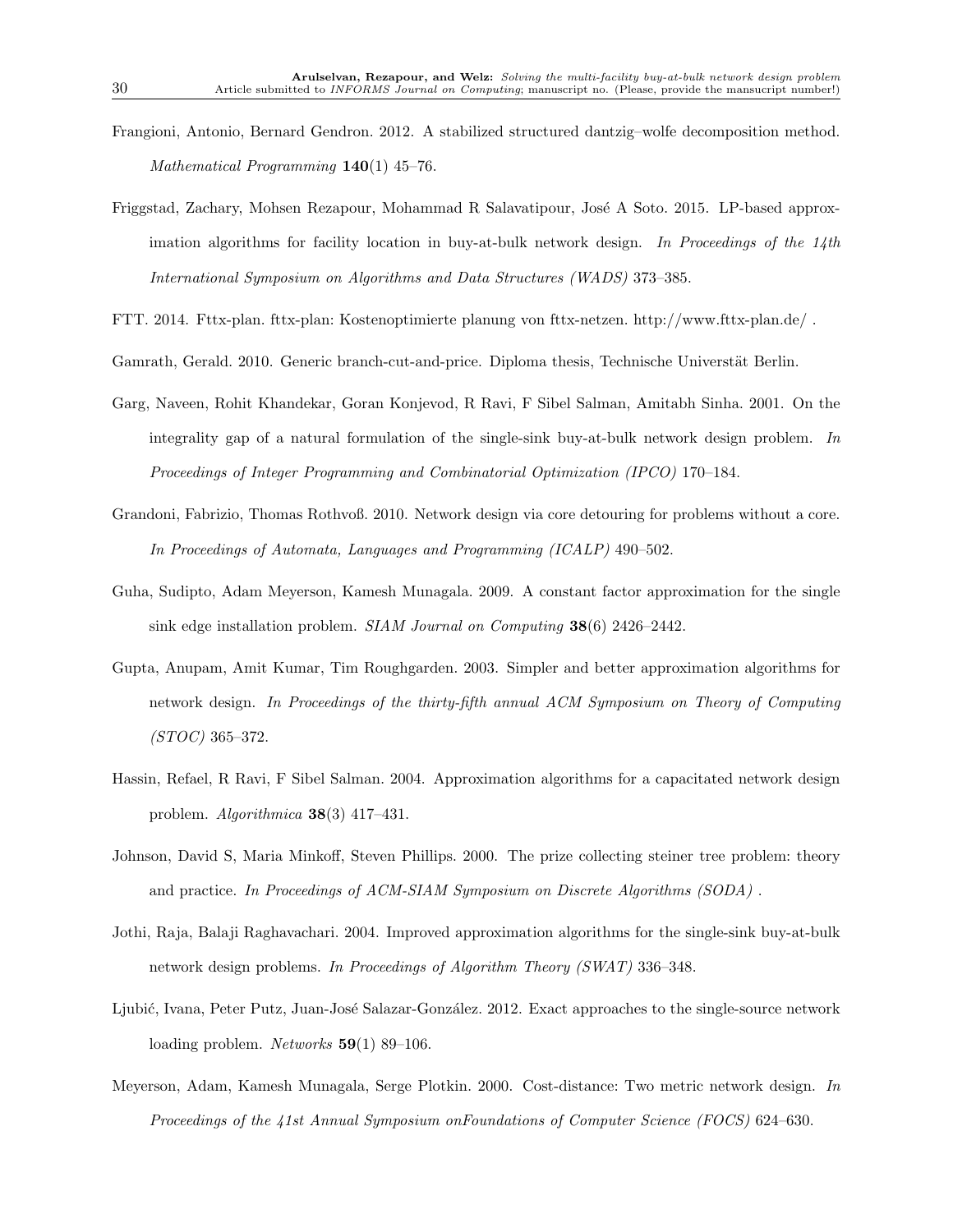- Frangioni, Antonio, Bernard Gendron. 2012. A stabilized structured dantzig–wolfe decomposition method. *Mathematical Programming* 140(1) 45–76.
- Friggstad, Zachary, Mohsen Rezapour, Mohammad R Salavatipour, José A Soto. 2015. LP-based approximation algorithms for facility location in buy-at-bulk network design. *In Proceedings of the 14th International Symposium on Algorithms and Data Structures (WADS)* 373–385.
- FTT. 2014. Fttx-plan. fttx-plan: Kostenoptimierte planung von fttx-netzen. http://www.fttx-plan.de/ .
- Gamrath, Gerald. 2010. Generic branch-cut-and-price. Diploma thesis, Technische Universtät Berlin.
- Garg, Naveen, Rohit Khandekar, Goran Konjevod, R Ravi, F Sibel Salman, Amitabh Sinha. 2001. On the integrality gap of a natural formulation of the single-sink buy-at-bulk network design problem. *In Proceedings of Integer Programming and Combinatorial Optimization (IPCO)* 170–184.
- Grandoni, Fabrizio, Thomas Rothvoß. 2010. Network design via core detouring for problems without a core. *In Proceedings of Automata, Languages and Programming (ICALP)* 490–502.
- Guha, Sudipto, Adam Meyerson, Kamesh Munagala. 2009. A constant factor approximation for the single sink edge installation problem. *SIAM Journal on Computing* 38(6) 2426–2442.
- Gupta, Anupam, Amit Kumar, Tim Roughgarden. 2003. Simpler and better approximation algorithms for network design. *In Proceedings of the thirty-fifth annual ACM Symposium on Theory of Computing (STOC)* 365–372.
- Hassin, Refael, R Ravi, F Sibel Salman. 2004. Approximation algorithms for a capacitated network design problem. *Algorithmica* 38(3) 417–431.
- Johnson, David S, Maria Minkoff, Steven Phillips. 2000. The prize collecting steiner tree problem: theory and practice. *In Proceedings of ACM-SIAM Symposium on Discrete Algorithms (SODA)* .
- Jothi, Raja, Balaji Raghavachari. 2004. Improved approximation algorithms for the single-sink buy-at-bulk network design problems. *In Proceedings of Algorithm Theory (SWAT)* 336–348.
- Ljubić, Ivana, Peter Putz, Juan-José Salazar-González. 2012. Exact approaches to the single-source network loading problem. *Networks* 59(1) 89–106.
- Meyerson, Adam, Kamesh Munagala, Serge Plotkin. 2000. Cost-distance: Two metric network design. *In Proceedings of the 41st Annual Symposium onFoundations of Computer Science (FOCS)* 624–630.